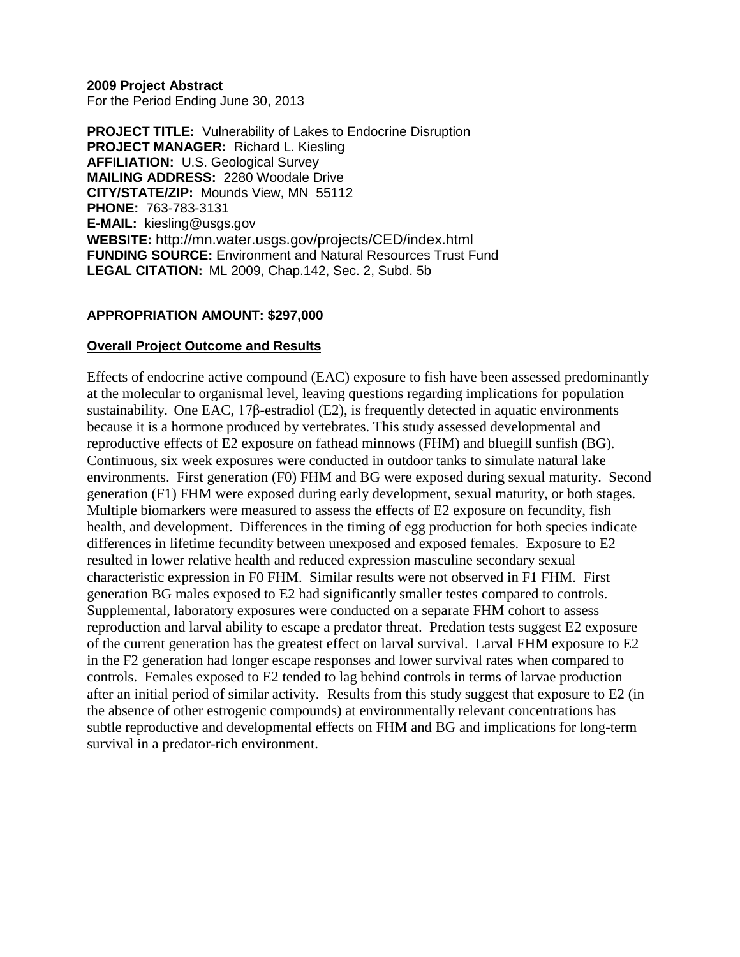**2009 Project Abstract** For the Period Ending June 30, 2013

**PROJECT TITLE:** Vulnerability of Lakes to Endocrine Disruption **PROJECT MANAGER:** Richard L. Kiesling **AFFILIATION:** U.S. Geological Survey **MAILING ADDRESS:** 2280 Woodale Drive **CITY/STATE/ZIP:** Mounds View, MN 55112 **PHONE:** 763-783-3131 **E-MAIL:** kiesling@usgs.gov **WEBSITE:** http://mn.water.usgs.gov/projects/CED/index.html **FUNDING SOURCE:** Environment and Natural Resources Trust Fund **LEGAL CITATION:** ML 2009, Chap.142, Sec. 2, Subd. 5b

#### **APPROPRIATION AMOUNT: \$297,000**

#### **Overall Project Outcome and Results**

Effects of endocrine active compound (EAC) exposure to fish have been assessed predominantly at the molecular to organismal level, leaving questions regarding implications for population sustainability. One EAC, 17β-estradiol (E2), is frequently detected in aquatic environments because it is a hormone produced by vertebrates. This study assessed developmental and reproductive effects of E2 exposure on fathead minnows (FHM) and bluegill sunfish (BG). Continuous, six week exposures were conducted in outdoor tanks to simulate natural lake environments. First generation (F0) FHM and BG were exposed during sexual maturity. Second generation (F1) FHM were exposed during early development, sexual maturity, or both stages. Multiple biomarkers were measured to assess the effects of E2 exposure on fecundity, fish health, and development. Differences in the timing of egg production for both species indicate differences in lifetime fecundity between unexposed and exposed females. Exposure to E2 resulted in lower relative health and reduced expression masculine secondary sexual characteristic expression in F0 FHM. Similar results were not observed in F1 FHM. First generation BG males exposed to E2 had significantly smaller testes compared to controls. Supplemental, laboratory exposures were conducted on a separate FHM cohort to assess reproduction and larval ability to escape a predator threat. Predation tests suggest E2 exposure of the current generation has the greatest effect on larval survival. Larval FHM exposure to E2 in the F2 generation had longer escape responses and lower survival rates when compared to controls. Females exposed to E2 tended to lag behind controls in terms of larvae production after an initial period of similar activity. Results from this study suggest that exposure to E2 (in the absence of other estrogenic compounds) at environmentally relevant concentrations has subtle reproductive and developmental effects on FHM and BG and implications for long-term survival in a predator-rich environment.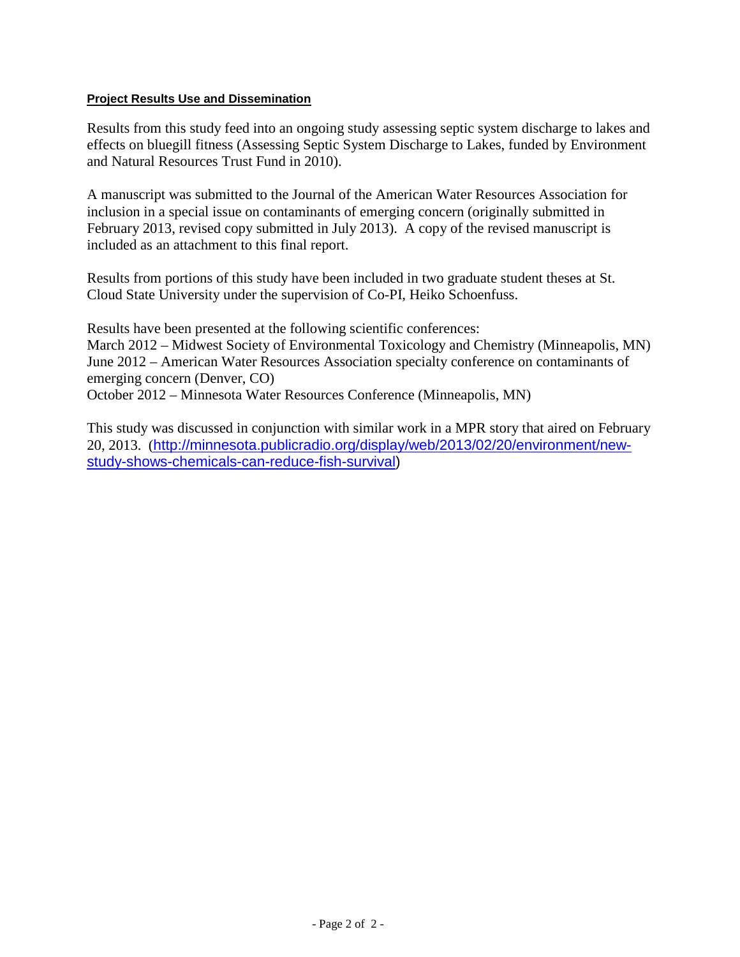#### **Project Results Use and Dissemination**

Results from this study feed into an ongoing study assessing septic system discharge to lakes and effects on bluegill fitness (Assessing Septic System Discharge to Lakes, funded by Environment and Natural Resources Trust Fund in 2010).

A manuscript was submitted to the Journal of the American Water Resources Association for inclusion in a special issue on contaminants of emerging concern (originally submitted in February 2013, revised copy submitted in July 2013). A copy of the revised manuscript is included as an attachment to this final report.

Results from portions of this study have been included in two graduate student theses at St. Cloud State University under the supervision of Co-PI, Heiko Schoenfuss.

Results have been presented at the following scientific conferences:

March 2012 – Midwest Society of Environmental Toxicology and Chemistry (Minneapolis, MN) June 2012 – American Water Resources Association specialty conference on contaminants of emerging concern (Denver, CO)

October 2012 – Minnesota Water Resources Conference (Minneapolis, MN)

This study was discussed in conjunction with similar work in a MPR story that aired on February 20, 2013. ([http://minnesota.publicradio.org/display/web/2013/02/20/environment/new](http://minnesota.publicradio.org/display/web/2013/02/20/environment/new-study-shows-chemicals-can-reduce-fish-survival)[study-shows-chemicals-can-reduce-fish-survival\)](http://minnesota.publicradio.org/display/web/2013/02/20/environment/new-study-shows-chemicals-can-reduce-fish-survival)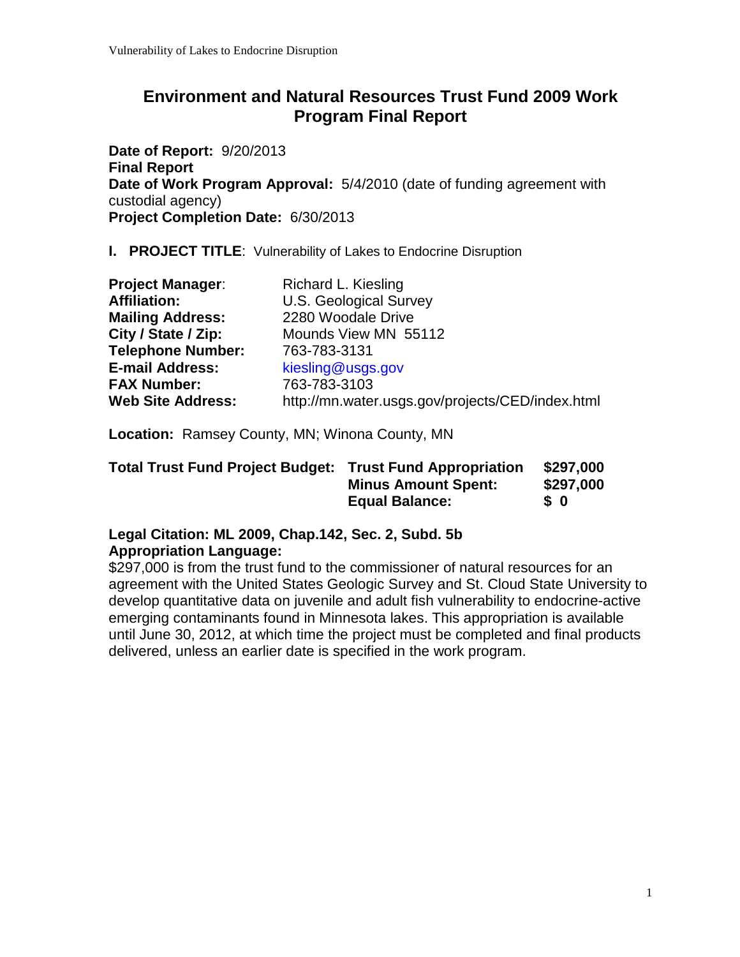## **Environment and Natural Resources Trust Fund 2009 Work Program Final Report**

**Date of Report:** 9/20/2013 **Final Report Date of Work Program Approval:** 5/4/2010 (date of funding agreement with custodial agency) **Project Completion Date:** 6/30/2013

**I. PROJECT TITLE**: Vulnerability of Lakes to Endocrine Disruption

| <b>Project Manager:</b>  | Richard L. Kiesling                              |
|--------------------------|--------------------------------------------------|
| <b>Affiliation:</b>      | <b>U.S. Geological Survey</b>                    |
| <b>Mailing Address:</b>  | 2280 Woodale Drive                               |
| City / State / Zip:      | Mounds View MN 55112                             |
| <b>Telephone Number:</b> | 763-783-3131                                     |
| <b>E-mail Address:</b>   | kiesling@usgs.gov                                |
| <b>FAX Number:</b>       | 763-783-3103                                     |
| <b>Web Site Address:</b> | http://mn.water.usgs.gov/projects/CED/index.html |

**Location:**Ramsey County, MN; Winona County, MN

| <b>Total Trust Fund Project Budget: Trust Fund Appropriation</b> |                            | \$297,000 |
|------------------------------------------------------------------|----------------------------|-----------|
|                                                                  | <b>Minus Amount Spent:</b> | \$297,000 |
|                                                                  | <b>Equal Balance:</b>      | S O       |

#### **Legal Citation: ML 2009, Chap.142, Sec. 2, Subd. 5b Appropriation Language:**

\$297,000 is from the trust fund to the commissioner of natural resources for an agreement with the United States Geologic Survey and St. Cloud State University to develop quantitative data on juvenile and adult fish vulnerability to endocrine-active emerging contaminants found in Minnesota lakes. This appropriation is available until June 30, 2012, at which time the project must be completed and final products delivered, unless an earlier date is specified in the work program.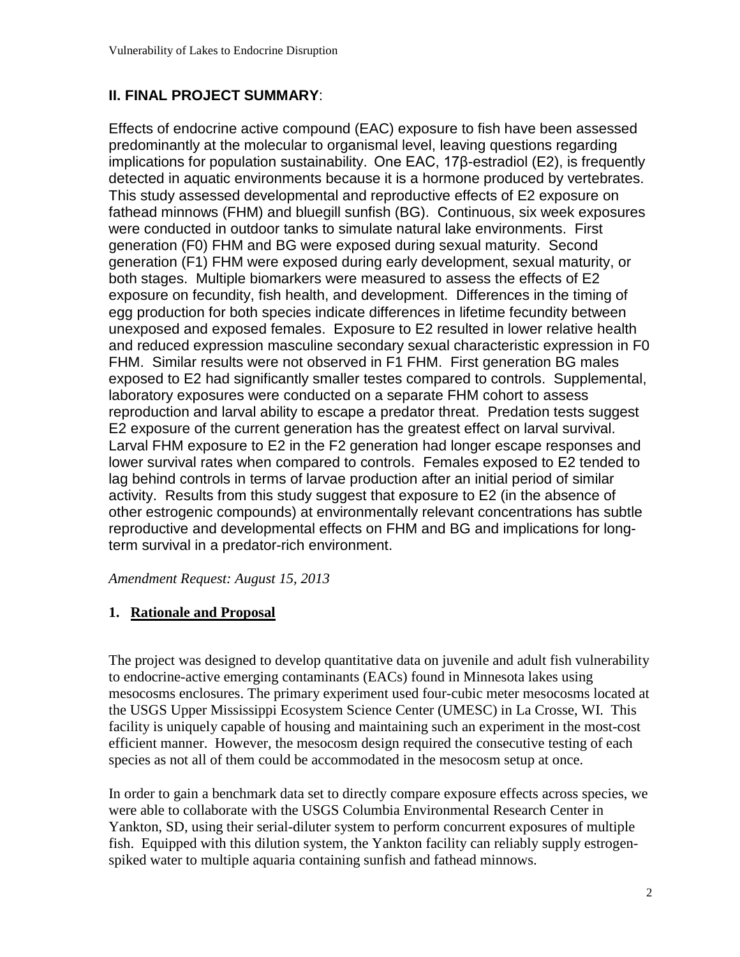#### **II. FINAL PROJECT SUMMARY**:

Effects of endocrine active compound (EAC) exposure to fish have been assessed predominantly at the molecular to organismal level, leaving questions regarding implications for population sustainability. One EAC, 17β-estradiol (E2), is frequently detected in aquatic environments because it is a hormone produced by vertebrates. This study assessed developmental and reproductive effects of E2 exposure on fathead minnows (FHM) and bluegill sunfish (BG). Continuous, six week exposures were conducted in outdoor tanks to simulate natural lake environments. First generation (F0) FHM and BG were exposed during sexual maturity. Second generation (F1) FHM were exposed during early development, sexual maturity, or both stages. Multiple biomarkers were measured to assess the effects of E2 exposure on fecundity, fish health, and development. Differences in the timing of egg production for both species indicate differences in lifetime fecundity between unexposed and exposed females. Exposure to E2 resulted in lower relative health and reduced expression masculine secondary sexual characteristic expression in F0 FHM. Similar results were not observed in F1 FHM. First generation BG males exposed to E2 had significantly smaller testes compared to controls. Supplemental, laboratory exposures were conducted on a separate FHM cohort to assess reproduction and larval ability to escape a predator threat. Predation tests suggest E2 exposure of the current generation has the greatest effect on larval survival. Larval FHM exposure to E2 in the F2 generation had longer escape responses and lower survival rates when compared to controls. Females exposed to E2 tended to lag behind controls in terms of larvae production after an initial period of similar activity. Results from this study suggest that exposure to E2 (in the absence of other estrogenic compounds) at environmentally relevant concentrations has subtle reproductive and developmental effects on FHM and BG and implications for longterm survival in a predator-rich environment.

*Amendment Request: August 15, 2013*

#### **1. Rationale and Proposal**

The project was designed to develop quantitative data on juvenile and adult fish vulnerability to endocrine-active emerging contaminants (EACs) found in Minnesota lakes using mesocosms enclosures. The primary experiment used four-cubic meter mesocosms located at the USGS Upper Mississippi Ecosystem Science Center (UMESC) in La Crosse, WI. This facility is uniquely capable of housing and maintaining such an experiment in the most-cost efficient manner. However, the mesocosm design required the consecutive testing of each species as not all of them could be accommodated in the mesocosm setup at once.

In order to gain a benchmark data set to directly compare exposure effects across species, we were able to collaborate with the USGS Columbia Environmental Research Center in Yankton, SD, using their serial-diluter system to perform concurrent exposures of multiple fish. Equipped with this dilution system, the Yankton facility can reliably supply estrogenspiked water to multiple aquaria containing sunfish and fathead minnows.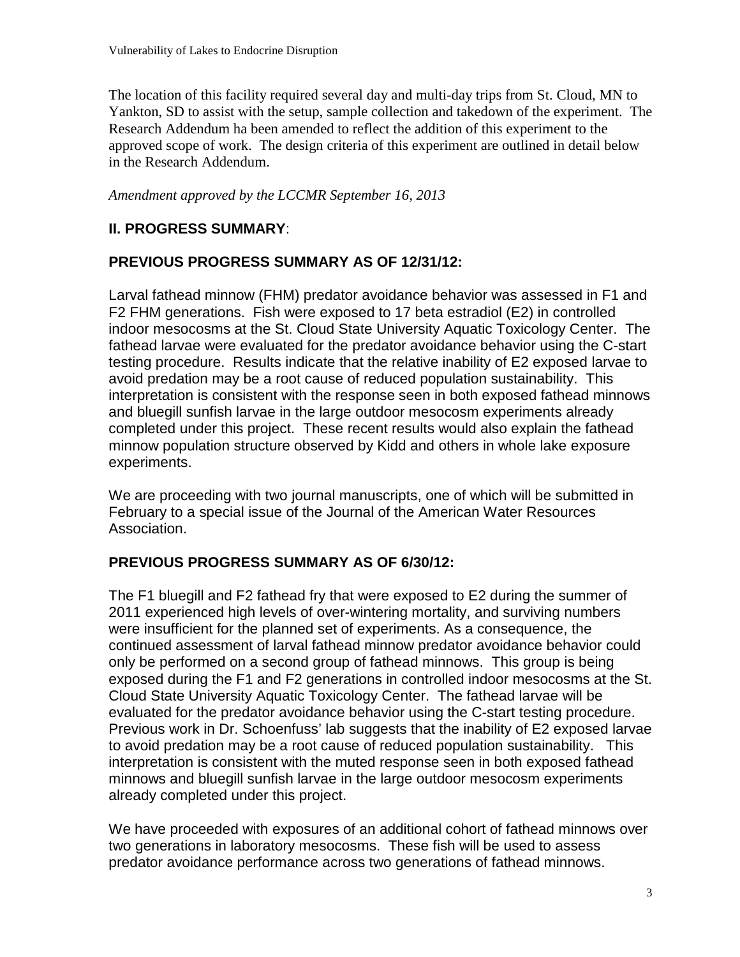The location of this facility required several day and multi-day trips from St. Cloud, MN to Yankton, SD to assist with the setup, sample collection and takedown of the experiment. The Research Addendum ha been amended to reflect the addition of this experiment to the approved scope of work. The design criteria of this experiment are outlined in detail below in the Research Addendum.

*Amendment approved by the LCCMR September 16, 2013*

### **II. PROGRESS SUMMARY**:

### **PREVIOUS PROGRESS SUMMARY AS OF 12/31/12:**

Larval fathead minnow (FHM) predator avoidance behavior was assessed in F1 and F2 FHM generations. Fish were exposed to 17 beta estradiol (E2) in controlled indoor mesocosms at the St. Cloud State University Aquatic Toxicology Center. The fathead larvae were evaluated for the predator avoidance behavior using the C-start testing procedure. Results indicate that the relative inability of E2 exposed larvae to avoid predation may be a root cause of reduced population sustainability. This interpretation is consistent with the response seen in both exposed fathead minnows and bluegill sunfish larvae in the large outdoor mesocosm experiments already completed under this project. These recent results would also explain the fathead minnow population structure observed by Kidd and others in whole lake exposure experiments.

We are proceeding with two journal manuscripts, one of which will be submitted in February to a special issue of the Journal of the American Water Resources Association.

#### **PREVIOUS PROGRESS SUMMARY AS OF 6/30/12:**

The F1 bluegill and F2 fathead fry that were exposed to E2 during the summer of 2011 experienced high levels of over-wintering mortality, and surviving numbers were insufficient for the planned set of experiments. As a consequence, the continued assessment of larval fathead minnow predator avoidance behavior could only be performed on a second group of fathead minnows. This group is being exposed during the F1 and F2 generations in controlled indoor mesocosms at the St. Cloud State University Aquatic Toxicology Center. The fathead larvae will be evaluated for the predator avoidance behavior using the C-start testing procedure. Previous work in Dr. Schoenfuss' lab suggests that the inability of E2 exposed larvae to avoid predation may be a root cause of reduced population sustainability. This interpretation is consistent with the muted response seen in both exposed fathead minnows and bluegill sunfish larvae in the large outdoor mesocosm experiments already completed under this project.

We have proceeded with exposures of an additional cohort of fathead minnows over two generations in laboratory mesocosms. These fish will be used to assess predator avoidance performance across two generations of fathead minnows.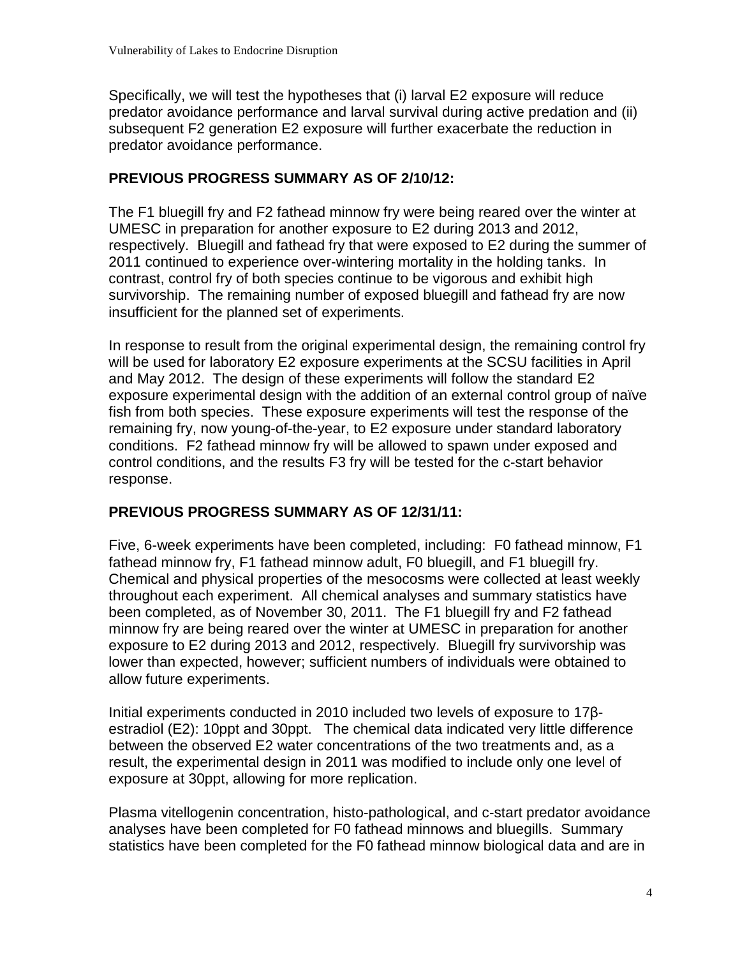Specifically, we will test the hypotheses that (i) larval E2 exposure will reduce predator avoidance performance and larval survival during active predation and (ii) subsequent F2 generation E2 exposure will further exacerbate the reduction in predator avoidance performance.

#### **PREVIOUS PROGRESS SUMMARY AS OF 2/10/12:**

The F1 bluegill fry and F2 fathead minnow fry were being reared over the winter at UMESC in preparation for another exposure to E2 during 2013 and 2012, respectively. Bluegill and fathead fry that were exposed to E2 during the summer of 2011 continued to experience over-wintering mortality in the holding tanks. In contrast, control fry of both species continue to be vigorous and exhibit high survivorship. The remaining number of exposed bluegill and fathead fry are now insufficient for the planned set of experiments.

In response to result from the original experimental design, the remaining control fry will be used for laboratory E2 exposure experiments at the SCSU facilities in April and May 2012. The design of these experiments will follow the standard E2 exposure experimental design with the addition of an external control group of naïve fish from both species. These exposure experiments will test the response of the remaining fry, now young-of-the-year, to E2 exposure under standard laboratory conditions. F2 fathead minnow fry will be allowed to spawn under exposed and control conditions, and the results F3 fry will be tested for the c-start behavior response.

### **PREVIOUS PROGRESS SUMMARY AS OF 12/31/11:**

Five, 6-week experiments have been completed, including: F0 fathead minnow, F1 fathead minnow fry, F1 fathead minnow adult, F0 bluegill, and F1 bluegill fry. Chemical and physical properties of the mesocosms were collected at least weekly throughout each experiment. All chemical analyses and summary statistics have been completed, as of November 30, 2011. The F1 bluegill fry and F2 fathead minnow fry are being reared over the winter at UMESC in preparation for another exposure to E2 during 2013 and 2012, respectively. Bluegill fry survivorship was lower than expected, however; sufficient numbers of individuals were obtained to allow future experiments.

Initial experiments conducted in 2010 included two levels of exposure to 17βestradiol (E2): 10ppt and 30ppt. The chemical data indicated very little difference between the observed E2 water concentrations of the two treatments and, as a result, the experimental design in 2011 was modified to include only one level of exposure at 30ppt, allowing for more replication.

Plasma vitellogenin concentration, histo-pathological, and c-start predator avoidance analyses have been completed for F0 fathead minnows and bluegills. Summary statistics have been completed for the F0 fathead minnow biological data and are in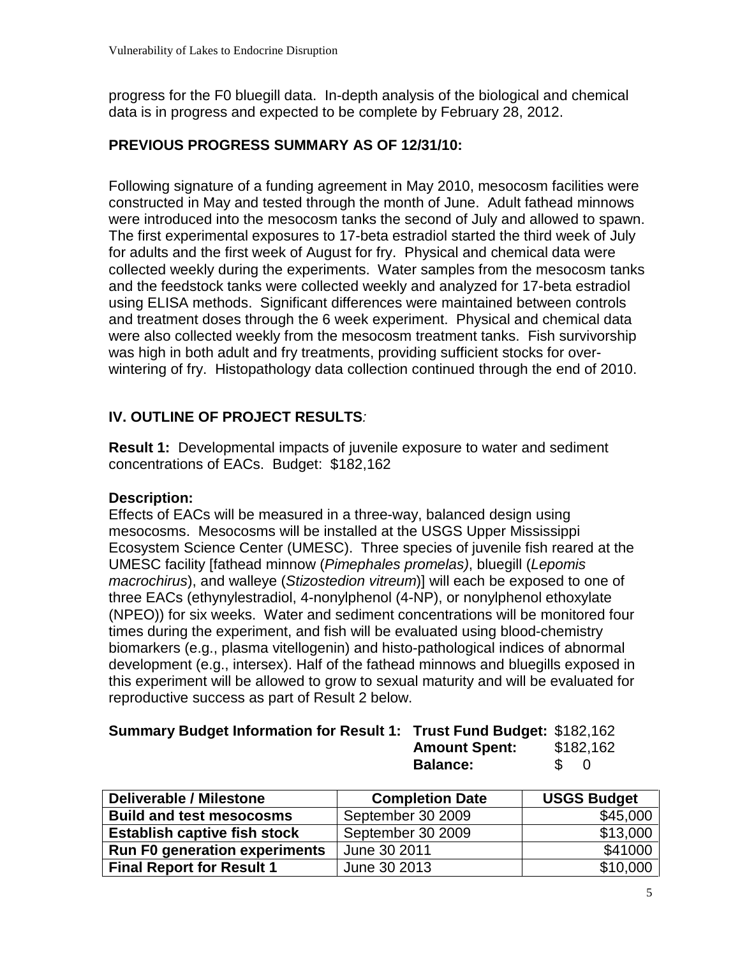progress for the F0 bluegill data. In-depth analysis of the biological and chemical data is in progress and expected to be complete by February 28, 2012.

### **PREVIOUS PROGRESS SUMMARY AS OF 12/31/10:**

Following signature of a funding agreement in May 2010, mesocosm facilities were constructed in May and tested through the month of June. Adult fathead minnows were introduced into the mesocosm tanks the second of July and allowed to spawn. The first experimental exposures to 17-beta estradiol started the third week of July for adults and the first week of August for fry. Physical and chemical data were collected weekly during the experiments. Water samples from the mesocosm tanks and the feedstock tanks were collected weekly and analyzed for 17-beta estradiol using ELISA methods. Significant differences were maintained between controls and treatment doses through the 6 week experiment. Physical and chemical data were also collected weekly from the mesocosm treatment tanks. Fish survivorship was high in both adult and fry treatments, providing sufficient stocks for overwintering of fry. Histopathology data collection continued through the end of 2010.

## **IV. OUTLINE OF PROJECT RESULTS***:*

**Result 1:** Developmental impacts of juvenile exposure to water and sediment concentrations of EACs. Budget: \$182,162

### **Description:**

Effects of EACs will be measured in a three-way, balanced design using mesocosms. Mesocosms will be installed at the USGS Upper Mississippi Ecosystem Science Center (UMESC). Three species of juvenile fish reared at the UMESC facility [fathead minnow (*Pimephales promelas)*, bluegill (*Lepomis macrochirus*), and walleye (*Stizostedion vitreum*)] will each be exposed to one of three EACs (ethynylestradiol, 4-nonylphenol (4-NP), or nonylphenol ethoxylate (NPEO)) for six weeks. Water and sediment concentrations will be monitored four times during the experiment, and fish will be evaluated using blood-chemistry biomarkers (e.g., plasma vitellogenin) and histo-pathological indices of abnormal development (e.g., intersex). Half of the fathead minnows and bluegills exposed in this experiment will be allowed to grow to sexual maturity and will be evaluated for reproductive success as part of Result 2 below.

| <b>Summary Budget Information for Result 1: Trust Fund Budget: \$182,162</b> |                      |           |
|------------------------------------------------------------------------------|----------------------|-----------|
|                                                                              | <b>Amount Spent:</b> | \$182,162 |
|                                                                              | <b>Balance:</b>      |           |

| Deliverable / Milestone              | <b>Completion Date</b> | <b>USGS Budget</b> |
|--------------------------------------|------------------------|--------------------|
| <b>Build and test mesocosms</b>      | September 30 2009      | \$45,000           |
| <b>Establish captive fish stock</b>  | September 30 2009      | \$13,000           |
| <b>Run F0 generation experiments</b> | June 30 2011           | \$41000            |
| <b>Final Report for Result 1</b>     | June 30 2013           | \$10,000           |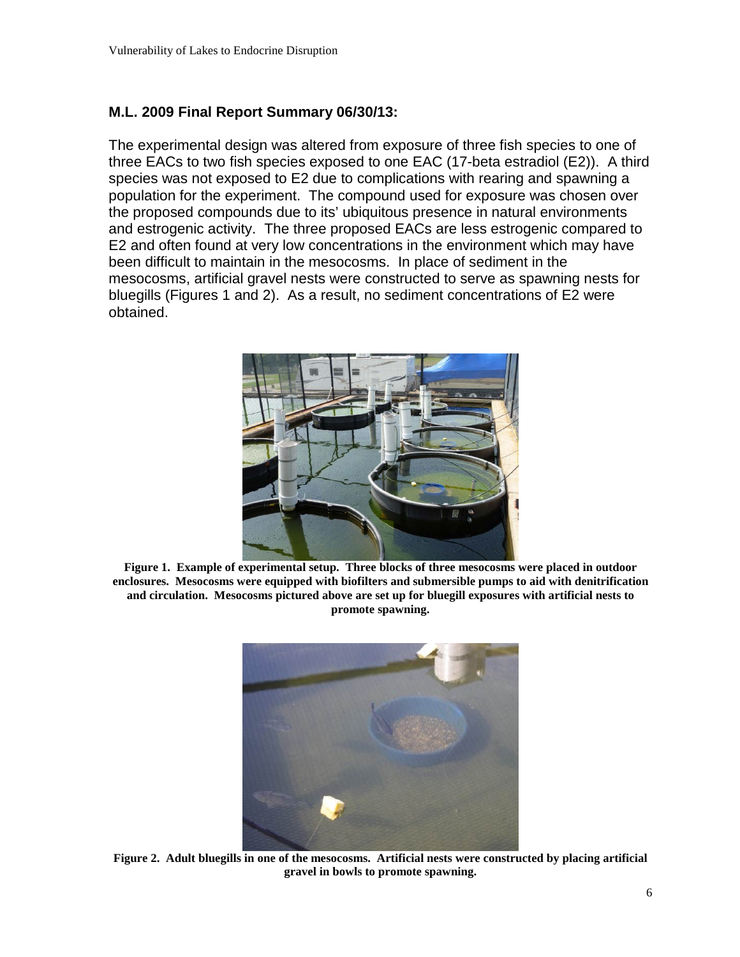### **M.L. 2009 Final Report Summary 06/30/13:**

The experimental design was altered from exposure of three fish species to one of three EACs to two fish species exposed to one EAC (17-beta estradiol (E2)). A third species was not exposed to E2 due to complications with rearing and spawning a population for the experiment. The compound used for exposure was chosen over the proposed compounds due to its' ubiquitous presence in natural environments and estrogenic activity. The three proposed EACs are less estrogenic compared to E2 and often found at very low concentrations in the environment which may have been difficult to maintain in the mesocosms. In place of sediment in the mesocosms, artificial gravel nests were constructed to serve as spawning nests for bluegills (Figures 1 and 2). As a result, no sediment concentrations of E2 were obtained.



**Figure 1. Example of experimental setup. Three blocks of three mesocosms were placed in outdoor enclosures. Mesocosms were equipped with biofilters and submersible pumps to aid with denitrification and circulation. Mesocosms pictured above are set up for bluegill exposures with artificial nests to promote spawning.**



**Figure 2. Adult bluegills in one of the mesocosms. Artificial nests were constructed by placing artificial gravel in bowls to promote spawning.**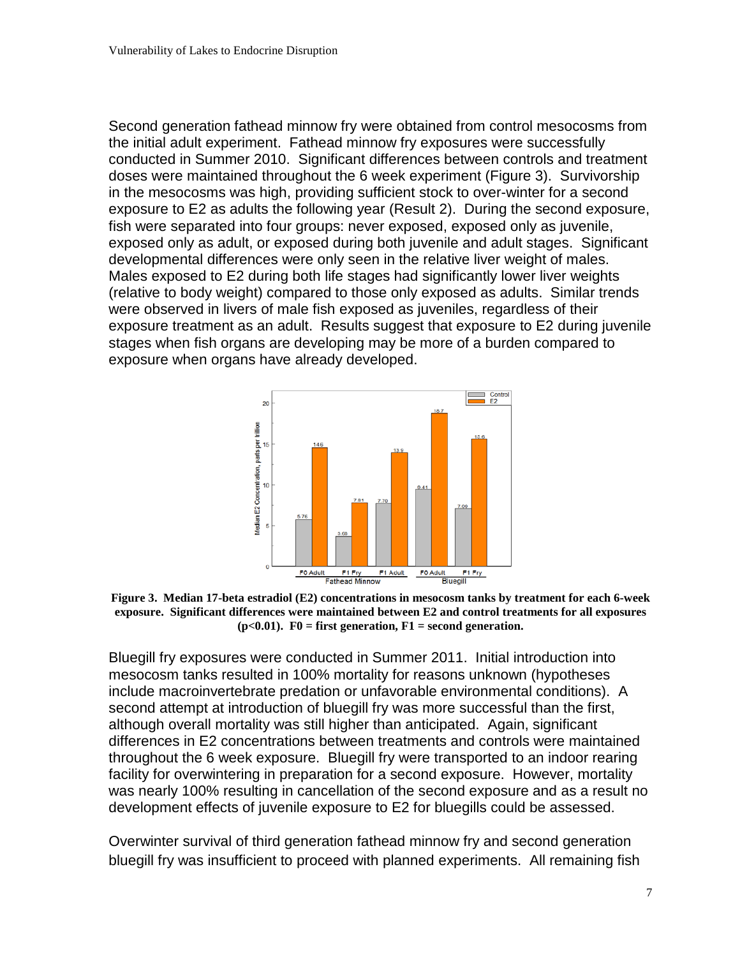Second generation fathead minnow fry were obtained from control mesocosms from the initial adult experiment. Fathead minnow fry exposures were successfully conducted in Summer 2010. Significant differences between controls and treatment doses were maintained throughout the 6 week experiment (Figure 3). Survivorship in the mesocosms was high, providing sufficient stock to over-winter for a second exposure to E2 as adults the following year (Result 2). During the second exposure, fish were separated into four groups: never exposed, exposed only as juvenile, exposed only as adult, or exposed during both juvenile and adult stages. Significant developmental differences were only seen in the relative liver weight of males. Males exposed to E2 during both life stages had significantly lower liver weights (relative to body weight) compared to those only exposed as adults. Similar trends were observed in livers of male fish exposed as juveniles, regardless of their exposure treatment as an adult. Results suggest that exposure to E2 during juvenile stages when fish organs are developing may be more of a burden compared to exposure when organs have already developed.



**Figure 3. Median 17-beta estradiol (E2) concentrations in mesocosm tanks by treatment for each 6-week exposure. Significant differences were maintained between E2 and control treatments for all exposures (p<0.01). F0 = first generation, F1 = second generation.**

Bluegill fry exposures were conducted in Summer 2011. Initial introduction into mesocosm tanks resulted in 100% mortality for reasons unknown (hypotheses include macroinvertebrate predation or unfavorable environmental conditions). A second attempt at introduction of bluegill fry was more successful than the first, although overall mortality was still higher than anticipated. Again, significant differences in E2 concentrations between treatments and controls were maintained throughout the 6 week exposure. Bluegill fry were transported to an indoor rearing facility for overwintering in preparation for a second exposure. However, mortality was nearly 100% resulting in cancellation of the second exposure and as a result no development effects of juvenile exposure to E2 for bluegills could be assessed.

Overwinter survival of third generation fathead minnow fry and second generation bluegill fry was insufficient to proceed with planned experiments. All remaining fish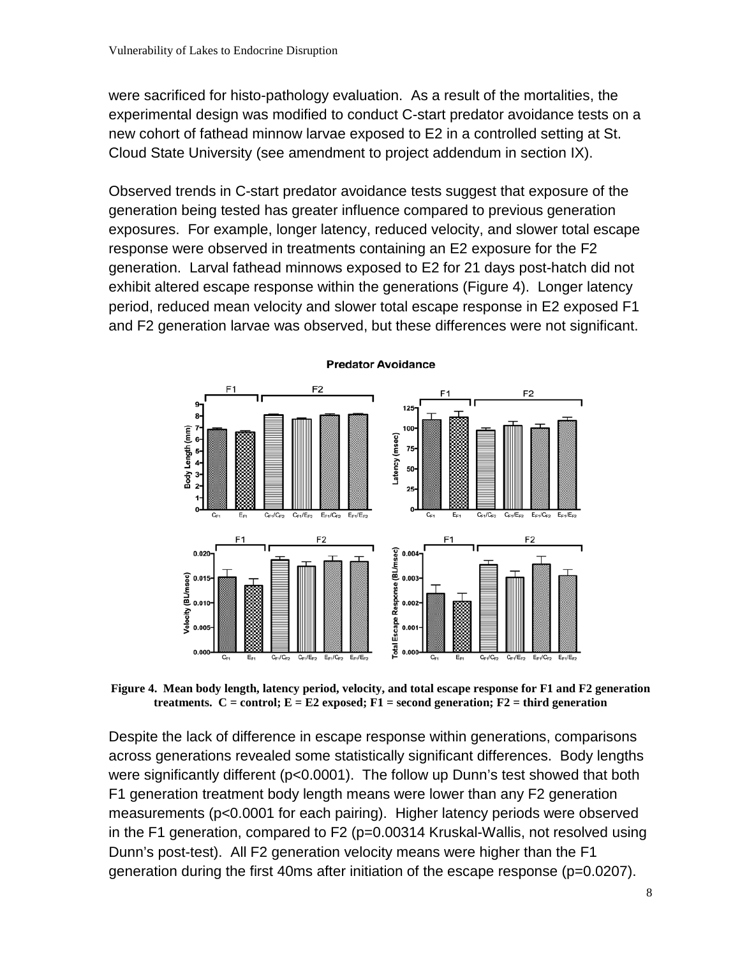were sacrificed for histo-pathology evaluation. As a result of the mortalities, the experimental design was modified to conduct C-start predator avoidance tests on a new cohort of fathead minnow larvae exposed to E2 in a controlled setting at St. Cloud State University (see amendment to project addendum in section IX).

Observed trends in C-start predator avoidance tests suggest that exposure of the generation being tested has greater influence compared to previous generation exposures. For example, longer latency, reduced velocity, and slower total escape response were observed in treatments containing an E2 exposure for the F2 generation. Larval fathead minnows exposed to E2 for 21 days post-hatch did not exhibit altered escape response within the generations (Figure 4). Longer latency period, reduced mean velocity and slower total escape response in E2 exposed F1 and F2 generation larvae was observed, but these differences were not significant.



**Predator Avoidance** 

**Figure 4. Mean body length, latency period, velocity, and total escape response for F1 and F2 generation treatments.**  $C =$  control;  $E = E2$  exposed;  $F1 =$  second generation;  $F2 =$  third generation

Despite the lack of difference in escape response within generations, comparisons across generations revealed some statistically significant differences. Body lengths were significantly different (p<0.0001). The follow up Dunn's test showed that both F1 generation treatment body length means were lower than any F2 generation measurements (p<0.0001 for each pairing). Higher latency periods were observed in the F1 generation, compared to F2 (p=0.00314 Kruskal-Wallis, not resolved using Dunn's post-test). All F2 generation velocity means were higher than the F1 generation during the first 40ms after initiation of the escape response (p=0.0207).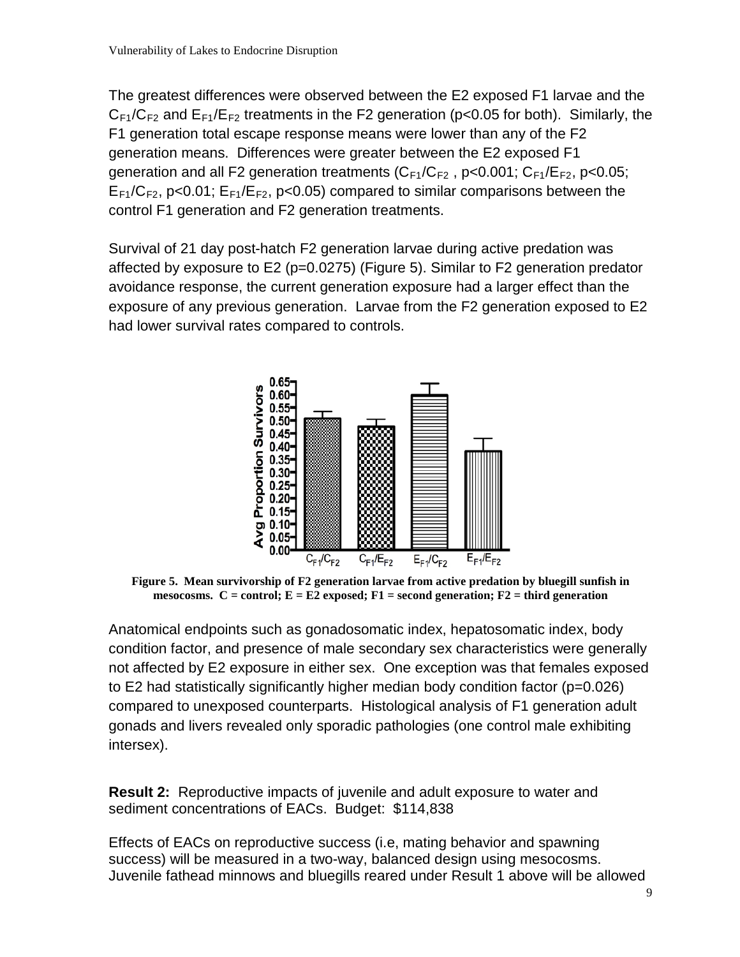The greatest differences were observed between the E2 exposed F1 larvae and the  $C_{F1}/C_{F2}$  and  $E_{F1}/E_{F2}$  treatments in the F2 generation (p<0.05 for both). Similarly, the F1 generation total escape response means were lower than any of the F2 generation means. Differences were greater between the E2 exposed F1 generation and all F2 generation treatments  $(C_{F1}/C_{F2}$ , p<0.001;  $C_{F1}/E_{F2}$ , p<0.05;  $E_{F1}/C_{F2}$ , p<0.01;  $E_{F1}/E_{F2}$ , p<0.05) compared to similar comparisons between the control F1 generation and F2 generation treatments.

Survival of 21 day post-hatch F2 generation larvae during active predation was affected by exposure to E2 (p=0.0275) (Figure 5). Similar to F2 generation predator avoidance response, the current generation exposure had a larger effect than the exposure of any previous generation. Larvae from the F2 generation exposed to E2 had lower survival rates compared to controls.



**Figure 5. Mean survivorship of F2 generation larvae from active predation by bluegill sunfish in mesocosms. C = control; E = E2 exposed; F1 = second generation; F2 = third generation**

Anatomical endpoints such as gonadosomatic index, hepatosomatic index, body condition factor, and presence of male secondary sex characteristics were generally not affected by E2 exposure in either sex. One exception was that females exposed to E2 had statistically significantly higher median body condition factor (p=0.026) compared to unexposed counterparts. Histological analysis of F1 generation adult gonads and livers revealed only sporadic pathologies (one control male exhibiting intersex).

**Result 2:** Reproductive impacts of juvenile and adult exposure to water and sediment concentrations of EACs. Budget: \$114,838

Effects of EACs on reproductive success (i.e, mating behavior and spawning success) will be measured in a two-way, balanced design using mesocosms. Juvenile fathead minnows and bluegills reared under Result 1 above will be allowed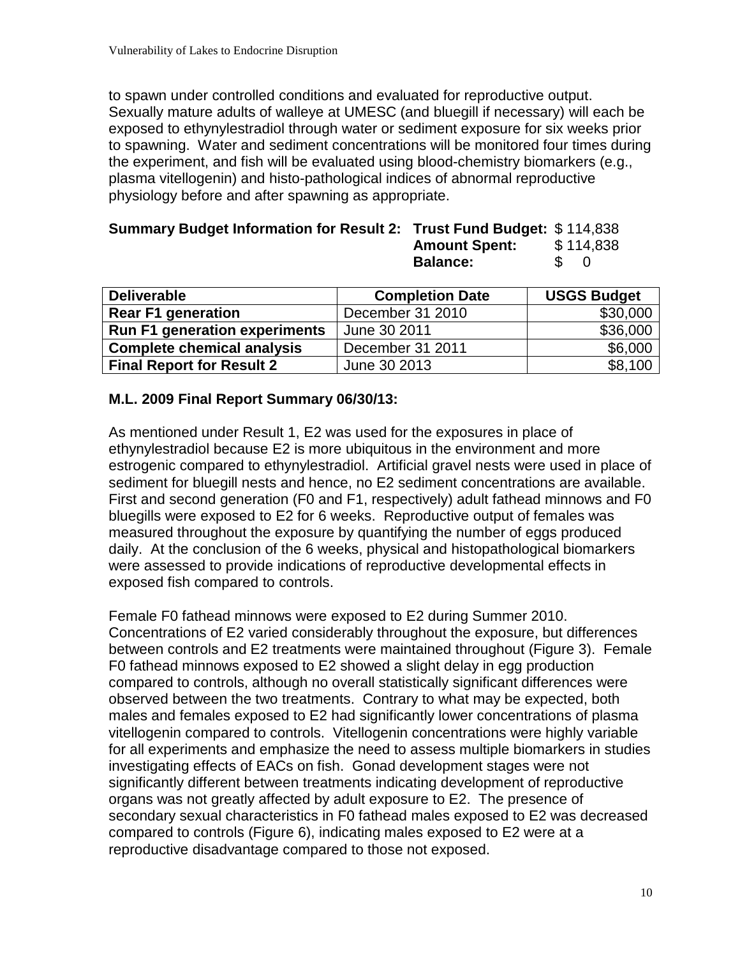to spawn under controlled conditions and evaluated for reproductive output. Sexually mature adults of walleye at UMESC (and bluegill if necessary) will each be exposed to ethynylestradiol through water or sediment exposure for six weeks prior to spawning. Water and sediment concentrations will be monitored four times during the experiment, and fish will be evaluated using blood-chemistry biomarkers (e.g., plasma vitellogenin) and histo-pathological indices of abnormal reproductive physiology before and after spawning as appropriate.

| <b>Summary Budget Information for Result 2: Trust Fund Budget: \$114,838</b> |                      |           |
|------------------------------------------------------------------------------|----------------------|-----------|
|                                                                              | <b>Amount Spent:</b> | \$114,838 |
|                                                                              | <b>Balance:</b>      | S O       |

| <b>Deliverable</b>                   | <b>Completion Date</b> | <b>USGS Budget</b> |
|--------------------------------------|------------------------|--------------------|
| <b>Rear F1 generation</b>            | December 31 2010       | \$30,000           |
| <b>Run F1 generation experiments</b> | June 30 2011           | \$36,000           |
| <b>Complete chemical analysis</b>    | December 31 2011       | \$6,000            |
| <b>Final Report for Result 2</b>     | June 30 2013           | \$8,100            |

### **M.L. 2009 Final Report Summary 06/30/13:**

As mentioned under Result 1, E2 was used for the exposures in place of ethynylestradiol because E2 is more ubiquitous in the environment and more estrogenic compared to ethynylestradiol. Artificial gravel nests were used in place of sediment for bluegill nests and hence, no E2 sediment concentrations are available. First and second generation (F0 and F1, respectively) adult fathead minnows and F0 bluegills were exposed to E2 for 6 weeks. Reproductive output of females was measured throughout the exposure by quantifying the number of eggs produced daily. At the conclusion of the 6 weeks, physical and histopathological biomarkers were assessed to provide indications of reproductive developmental effects in exposed fish compared to controls.

Female F0 fathead minnows were exposed to E2 during Summer 2010. Concentrations of E2 varied considerably throughout the exposure, but differences between controls and E2 treatments were maintained throughout (Figure 3). Female F0 fathead minnows exposed to E2 showed a slight delay in egg production compared to controls, although no overall statistically significant differences were observed between the two treatments. Contrary to what may be expected, both males and females exposed to E2 had significantly lower concentrations of plasma vitellogenin compared to controls. Vitellogenin concentrations were highly variable for all experiments and emphasize the need to assess multiple biomarkers in studies investigating effects of EACs on fish. Gonad development stages were not significantly different between treatments indicating development of reproductive organs was not greatly affected by adult exposure to E2. The presence of secondary sexual characteristics in F0 fathead males exposed to E2 was decreased compared to controls (Figure 6), indicating males exposed to E2 were at a reproductive disadvantage compared to those not exposed.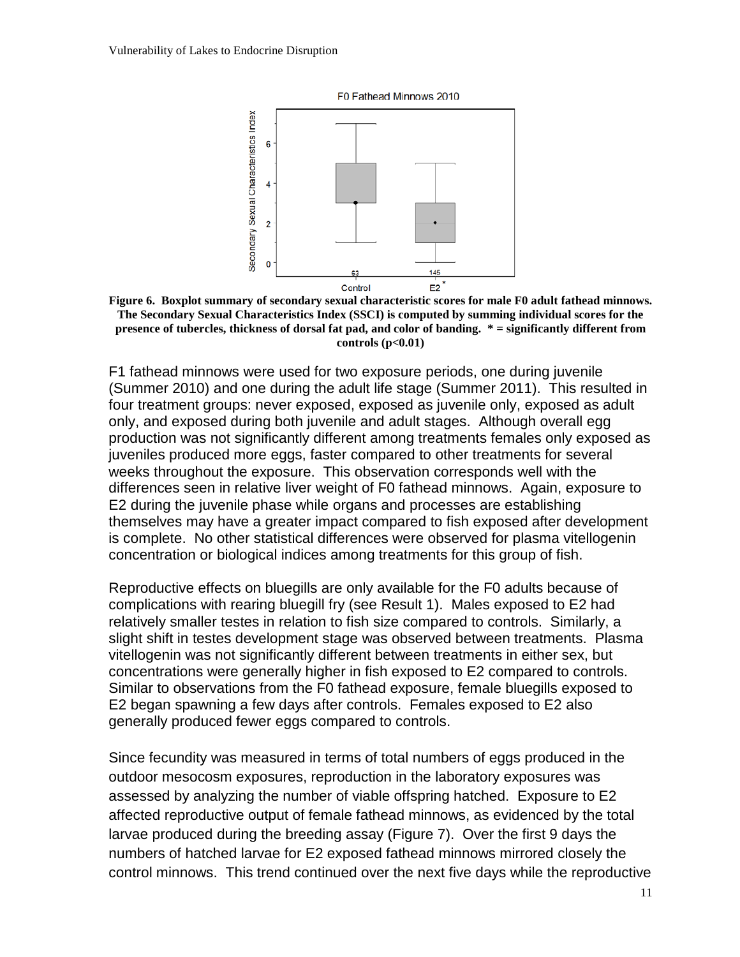

**Figure 6. Boxplot summary of secondary sexual characteristic scores for male F0 adult fathead minnows. The Secondary Sexual Characteristics Index (SSCI) is computed by summing individual scores for the presence of tubercles, thickness of dorsal fat pad, and color of banding. \* = significantly different from controls (p<0.01)**

F1 fathead minnows were used for two exposure periods, one during juvenile (Summer 2010) and one during the adult life stage (Summer 2011). This resulted in four treatment groups: never exposed, exposed as juvenile only, exposed as adult only, and exposed during both juvenile and adult stages. Although overall egg production was not significantly different among treatments females only exposed as juveniles produced more eggs, faster compared to other treatments for several weeks throughout the exposure. This observation corresponds well with the differences seen in relative liver weight of F0 fathead minnows. Again, exposure to E2 during the juvenile phase while organs and processes are establishing themselves may have a greater impact compared to fish exposed after development is complete. No other statistical differences were observed for plasma vitellogenin concentration or biological indices among treatments for this group of fish.

Reproductive effects on bluegills are only available for the F0 adults because of complications with rearing bluegill fry (see Result 1). Males exposed to E2 had relatively smaller testes in relation to fish size compared to controls. Similarly, a slight shift in testes development stage was observed between treatments. Plasma vitellogenin was not significantly different between treatments in either sex, but concentrations were generally higher in fish exposed to E2 compared to controls. Similar to observations from the F0 fathead exposure, female bluegills exposed to E2 began spawning a few days after controls. Females exposed to E2 also generally produced fewer eggs compared to controls.

Since fecundity was measured in terms of total numbers of eggs produced in the outdoor mesocosm exposures, reproduction in the laboratory exposures was assessed by analyzing the number of viable offspring hatched. Exposure to E2 affected reproductive output of female fathead minnows, as evidenced by the total larvae produced during the breeding assay (Figure 7). Over the first 9 days the numbers of hatched larvae for E2 exposed fathead minnows mirrored closely the control minnows. This trend continued over the next five days while the reproductive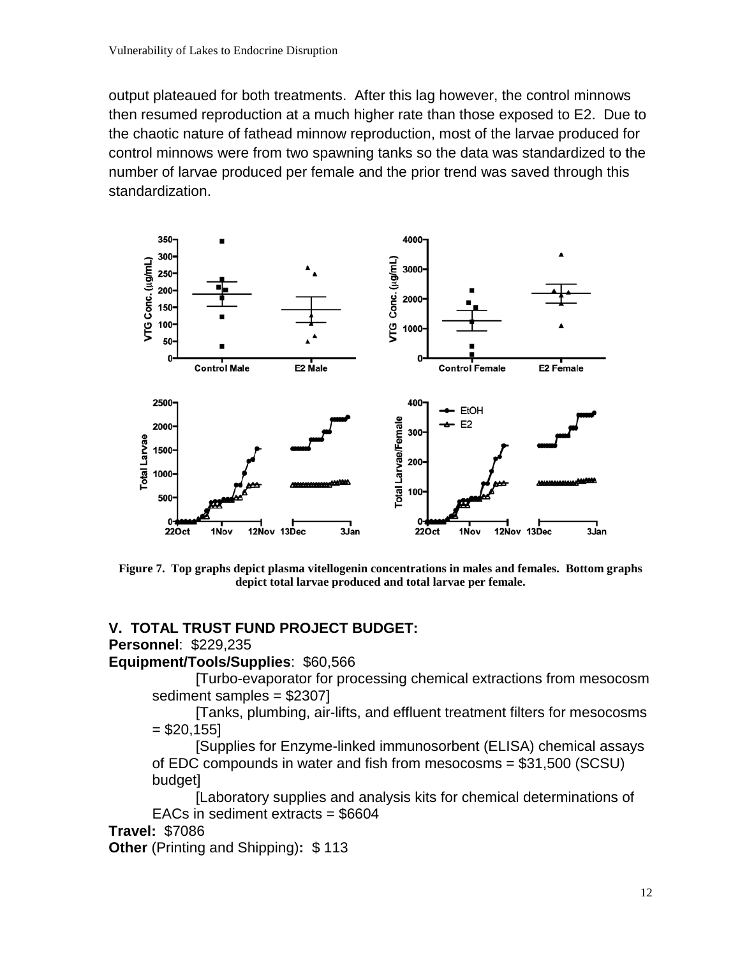output plateaued for both treatments. After this lag however, the control minnows then resumed reproduction at a much higher rate than those exposed to E2. Due to the chaotic nature of fathead minnow reproduction, most of the larvae produced for control minnows were from two spawning tanks so the data was standardized to the number of larvae produced per female and the prior trend was saved through this standardization.



**Figure 7. Top graphs depict plasma vitellogenin concentrations in males and females. Bottom graphs depict total larvae produced and total larvae per female.**

### **V. TOTAL TRUST FUND PROJECT BUDGET:**

**Personnel**: \$229,235

#### **Equipment/Tools/Supplies**: \$60,566

[Turbo-evaporator for processing chemical extractions from mesocosm sediment samples = \$2307]

[Tanks, plumbing, air-lifts, and effluent treatment filters for mesocosms  $= $20,155$ ]

[Supplies for Enzyme-linked immunosorbent (ELISA) chemical assays of EDC compounds in water and fish from mesocosms = \$31,500 (SCSU) budget]

[Laboratory supplies and analysis kits for chemical determinations of EACs in sediment extracts = \$6604

### **Travel:** \$7086

**Other** (Printing and Shipping)**:** \$ 113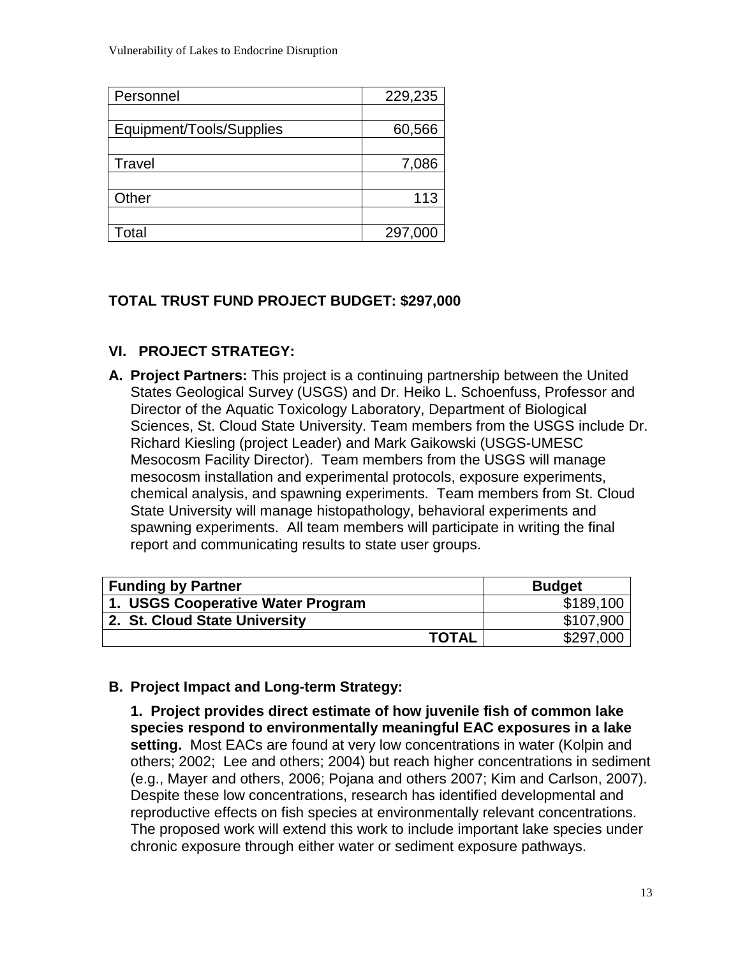| Personnel                | 229,235 |
|--------------------------|---------|
|                          |         |
| Equipment/Tools/Supplies | 60,566  |
|                          |         |
| Travel                   | 7,086   |
|                          |         |
| Other                    | 113     |
|                          |         |
| Гоtal                    | 297,000 |

### **TOTAL TRUST FUND PROJECT BUDGET: \$297,000**

### **VI. PROJECT STRATEGY:**

**A. Project Partners:** This project is a continuing partnership between the United States Geological Survey (USGS) and Dr. Heiko L. Schoenfuss, Professor and Director of the Aquatic Toxicology Laboratory, Department of Biological Sciences, St. Cloud State University. Team members from the USGS include Dr. Richard Kiesling (project Leader) and Mark Gaikowski (USGS-UMESC Mesocosm Facility Director). Team members from the USGS will manage mesocosm installation and experimental protocols, exposure experiments, chemical analysis, and spawning experiments. Team members from St. Cloud State University will manage histopathology, behavioral experiments and spawning experiments. All team members will participate in writing the final report and communicating results to state user groups.

| <b>Funding by Partner</b>         |              | <b>Budget</b> |
|-----------------------------------|--------------|---------------|
| 1. USGS Cooperative Water Program |              | \$189,100     |
| 2. St. Cloud State University     |              | \$107,900     |
|                                   | <b>TOTAL</b> | \$297,000     |

### **B. Project Impact and Long-term Strategy:**

**1. Project provides direct estimate of how juvenile fish of common lake species respond to environmentally meaningful EAC exposures in a lake setting.** Most EACs are found at very low concentrations in water (Kolpin and others; 2002; Lee and others; 2004) but reach higher concentrations in sediment (e.g., Mayer and others, 2006; Pojana and others 2007; Kim and Carlson, 2007). Despite these low concentrations, research has identified developmental and reproductive effects on fish species at environmentally relevant concentrations. The proposed work will extend this work to include important lake species under chronic exposure through either water or sediment exposure pathways.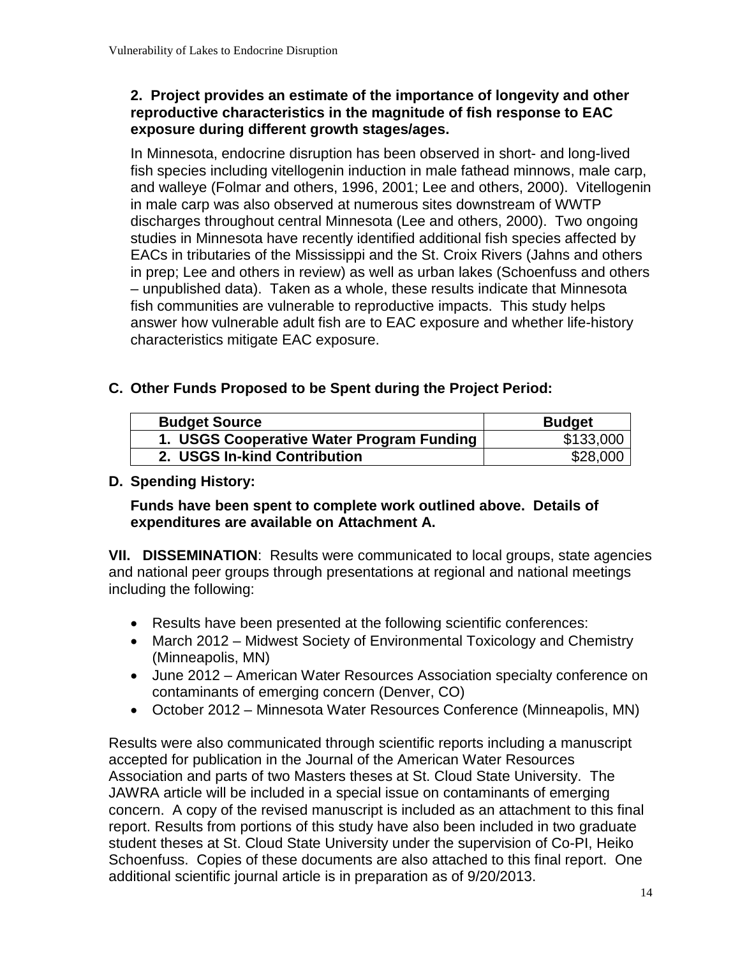#### **2. Project provides an estimate of the importance of longevity and other reproductive characteristics in the magnitude of fish response to EAC exposure during different growth stages/ages.**

In Minnesota, endocrine disruption has been observed in short- and long-lived fish species including vitellogenin induction in male fathead minnows, male carp, and walleye (Folmar and others, 1996, 2001; Lee and others, 2000). Vitellogenin in male carp was also observed at numerous sites downstream of WWTP discharges throughout central Minnesota (Lee and others, 2000). Two ongoing studies in Minnesota have recently identified additional fish species affected by EACs in tributaries of the Mississippi and the St. Croix Rivers (Jahns and others in prep; Lee and others in review) as well as urban lakes (Schoenfuss and others – unpublished data). Taken as a whole, these results indicate that Minnesota fish communities are vulnerable to reproductive impacts. This study helps answer how vulnerable adult fish are to EAC exposure and whether life-history characteristics mitigate EAC exposure.

### **C. Other Funds Proposed to be Spent during the Project Period:**

| <b>Budget Source</b>                      | <b>Budget</b> |
|-------------------------------------------|---------------|
| 1. USGS Cooperative Water Program Funding | \$133,000     |
| 2. USGS In-kind Contribution              | \$28,000      |

### **D. Spending History:**

**Funds have been spent to complete work outlined above. Details of expenditures are available on Attachment A.**

**VII. DISSEMINATION**:Results were communicated to local groups, state agencies and national peer groups through presentations at regional and national meetings including the following:

- Results have been presented at the following scientific conferences:
- March 2012 Midwest Society of Environmental Toxicology and Chemistry (Minneapolis, MN)
- June 2012 American Water Resources Association specialty conference on contaminants of emerging concern (Denver, CO)
- October 2012 Minnesota Water Resources Conference (Minneapolis, MN)

Results were also communicated through scientific reports including a manuscript accepted for publication in the Journal of the American Water Resources Association and parts of two Masters theses at St. Cloud State University. The JAWRA article will be included in a special issue on contaminants of emerging concern. A copy of the revised manuscript is included as an attachment to this final report. Results from portions of this study have also been included in two graduate student theses at St. Cloud State University under the supervision of Co-PI, Heiko Schoenfuss. Copies of these documents are also attached to this final report. One additional scientific journal article is in preparation as of 9/20/2013.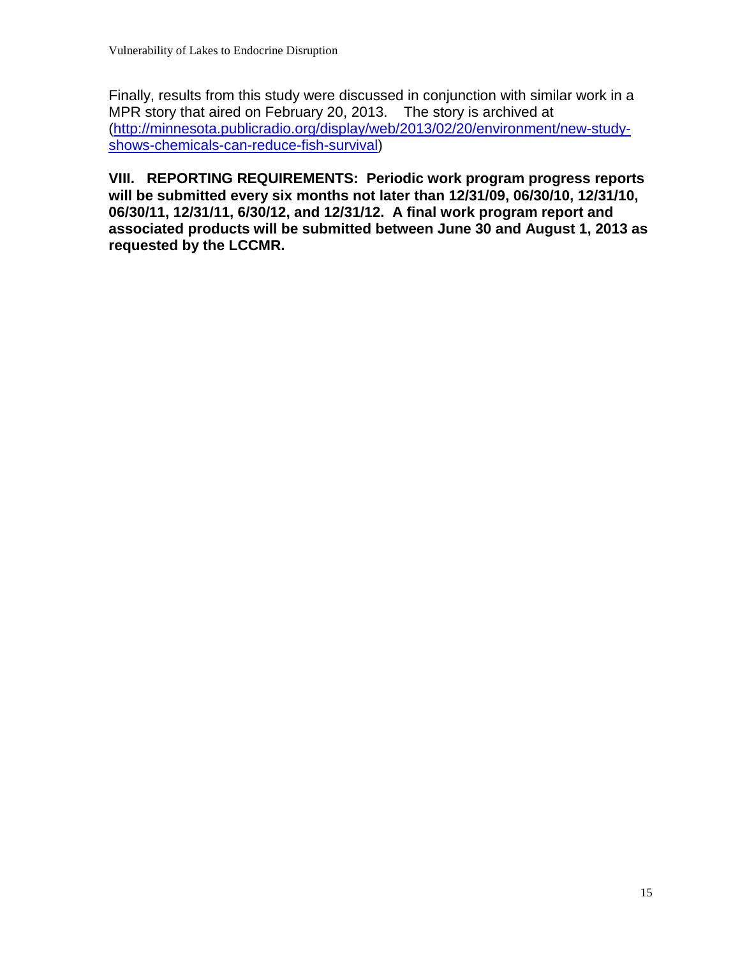Finally, results from this study were discussed in conjunction with similar work in a MPR story that aired on February 20, 2013. The story is archived at [\(http://minnesota.publicradio.org/display/web/2013/02/20/environment/new-study](http://minnesota.publicradio.org/display/web/2013/02/20/environment/new-study-shows-chemicals-can-reduce-fish-survival)[shows-chemicals-can-reduce-fish-survival\)](http://minnesota.publicradio.org/display/web/2013/02/20/environment/new-study-shows-chemicals-can-reduce-fish-survival)

**VIII. REPORTING REQUIREMENTS: Periodic work program progress reports will be submitted every six months not later than 12/31/09, 06/30/10, 12/31/10, 06/30/11, 12/31/11, 6/30/12, and 12/31/12. A final work program report and associated products will be submitted between June 30 and August 1, 2013 as requested by the LCCMR.**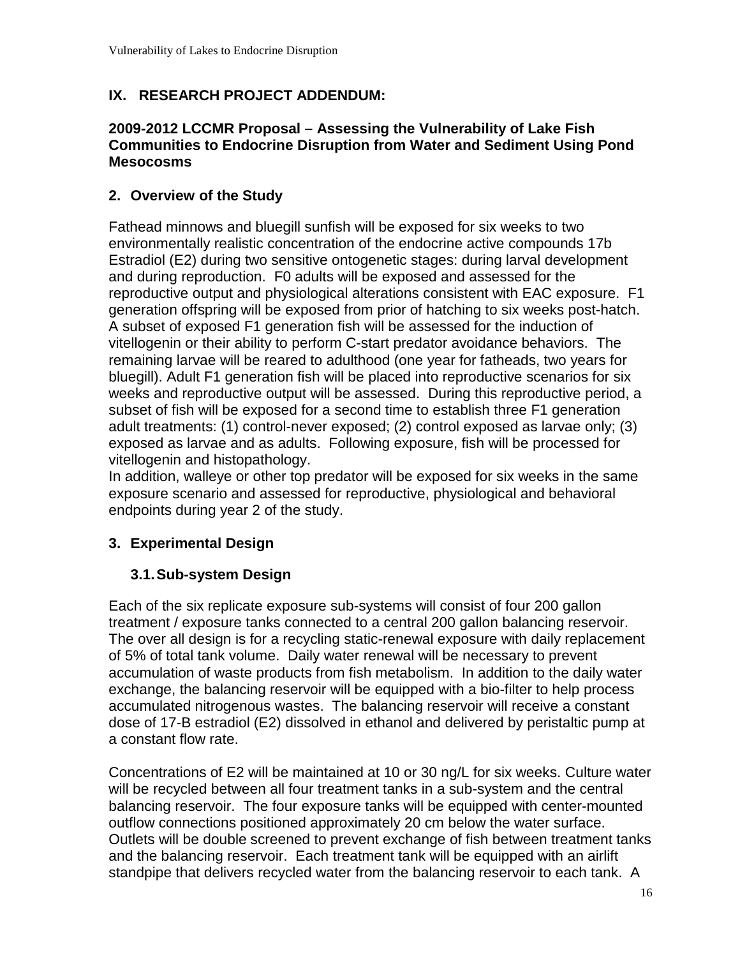### **IX. RESEARCH PROJECT ADDENDUM:**

#### **2009-2012 LCCMR Proposal – Assessing the Vulnerability of Lake Fish Communities to Endocrine Disruption from Water and Sediment Using Pond Mesocosms**

#### **2. Overview of the Study**

Fathead minnows and bluegill sunfish will be exposed for six weeks to two environmentally realistic concentration of the endocrine active compounds 17b Estradiol (E2) during two sensitive ontogenetic stages: during larval development and during reproduction. F0 adults will be exposed and assessed for the reproductive output and physiological alterations consistent with EAC exposure. F1 generation offspring will be exposed from prior of hatching to six weeks post-hatch. A subset of exposed F1 generation fish will be assessed for the induction of vitellogenin or their ability to perform C-start predator avoidance behaviors. The remaining larvae will be reared to adulthood (one year for fatheads, two years for bluegill). Adult F1 generation fish will be placed into reproductive scenarios for six weeks and reproductive output will be assessed. During this reproductive period, a subset of fish will be exposed for a second time to establish three F1 generation adult treatments: (1) control-never exposed; (2) control exposed as larvae only; (3) exposed as larvae and as adults. Following exposure, fish will be processed for vitellogenin and histopathology.

In addition, walleye or other top predator will be exposed for six weeks in the same exposure scenario and assessed for reproductive, physiological and behavioral endpoints during year 2 of the study.

### **3. Experimental Design**

### **3.1.Sub-system Design**

Each of the six replicate exposure sub-systems will consist of four 200 gallon treatment / exposure tanks connected to a central 200 gallon balancing reservoir. The over all design is for a recycling static-renewal exposure with daily replacement of 5% of total tank volume. Daily water renewal will be necessary to prevent accumulation of waste products from fish metabolism. In addition to the daily water exchange, the balancing reservoir will be equipped with a bio-filter to help process accumulated nitrogenous wastes. The balancing reservoir will receive a constant dose of 17-B estradiol (E2) dissolved in ethanol and delivered by peristaltic pump at a constant flow rate.

Concentrations of E2 will be maintained at 10 or 30 ng/L for six weeks. Culture water will be recycled between all four treatment tanks in a sub-system and the central balancing reservoir. The four exposure tanks will be equipped with center-mounted outflow connections positioned approximately 20 cm below the water surface. Outlets will be double screened to prevent exchange of fish between treatment tanks and the balancing reservoir. Each treatment tank will be equipped with an airlift standpipe that delivers recycled water from the balancing reservoir to each tank. A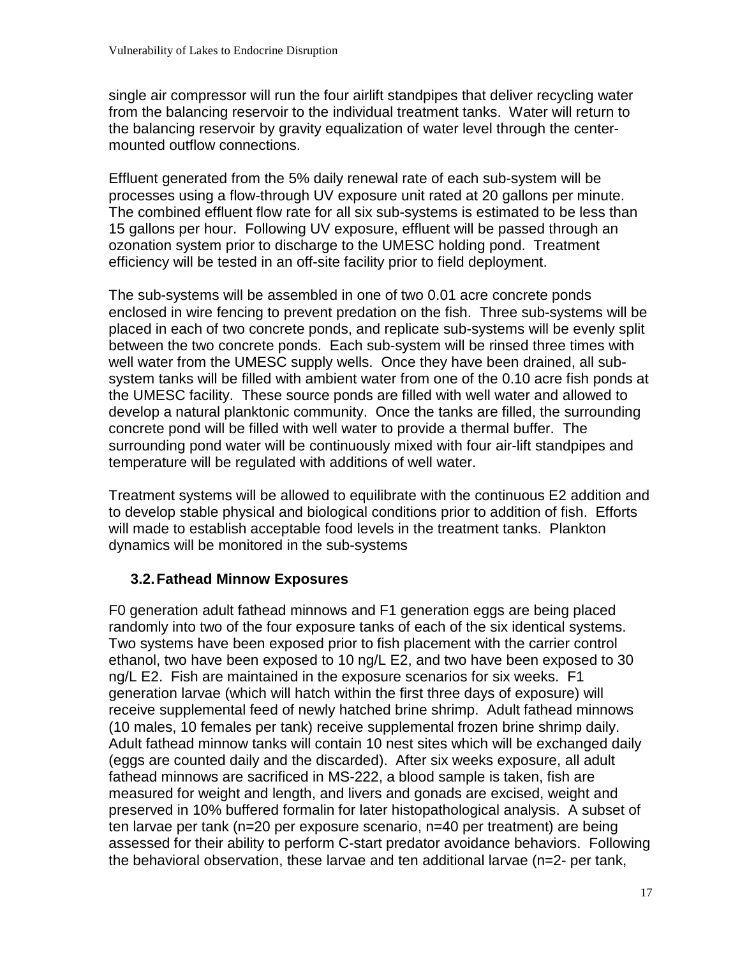single air compressor will run the four airlift standpipes that deliver recycling water from the balancing reservoir to the individual treatment tanks. Water will return to the balancing reservoir by gravity equalization of water level through the centermounted outflow connections.

Effluent generated from the 5% daily renewal rate of each sub-system will be processes using a flow-through UV exposure unit rated at 20 gallons per minute. The combined effluent flow rate for all six sub-systems is estimated to be less than 15 gallons per hour. Following UV exposure, effluent will be passed through an ozonation system prior to discharge to the UMESC holding pond. Treatment efficiency will be tested in an off-site facility prior to field deployment.

The sub-systems will be assembled in one of two 0.01 acre concrete ponds enclosed in wire fencing to prevent predation on the fish. Three sub-systems will be placed in each of two concrete ponds, and replicate sub-systems will be evenly split between the two concrete ponds. Each sub-system will be rinsed three times with well water from the UMESC supply wells. Once they have been drained, all subsystem tanks will be filled with ambient water from one of the 0.10 acre fish ponds at the UMESC facility. These source ponds are filled with well water and allowed to develop a natural planktonic community. Once the tanks are filled, the surrounding concrete pond will be filled with well water to provide a thermal buffer. The surrounding pond water will be continuously mixed with four air-lift standpipes and temperature will be regulated with additions of well water.

Treatment systems will be allowed to equilibrate with the continuous E2 addition and to develop stable physical and biological conditions prior to addition of fish. Efforts will made to establish acceptable food levels in the treatment tanks. Plankton dynamics will be monitored in the sub-systems

### **3.2.Fathead Minnow Exposures**

F0 generation adult fathead minnows and F1 generation eggs are being placed randomly into two of the four exposure tanks of each of the six identical systems. Two systems have been exposed prior to fish placement with the carrier control ethanol, two have been exposed to 10 ng/L E2, and two have been exposed to 30 ng/L E2. Fish are maintained in the exposure scenarios for six weeks. F1 generation larvae (which will hatch within the first three days of exposure) will receive supplemental feed of newly hatched brine shrimp. Adult fathead minnows (10 males, 10 females per tank) receive supplemental frozen brine shrimp daily. Adult fathead minnow tanks will contain 10 nest sites which will be exchanged daily (eggs are counted daily and the discarded). After six weeks exposure, all adult fathead minnows are sacrificed in MS-222, a blood sample is taken, fish are measured for weight and length, and livers and gonads are excised, weight and preserved in 10% buffered formalin for later histopathological analysis. A subset of ten larvae per tank (n=20 per exposure scenario, n=40 per treatment) are being assessed for their ability to perform C-start predator avoidance behaviors. Following the behavioral observation, these larvae and ten additional larvae (n=2- per tank,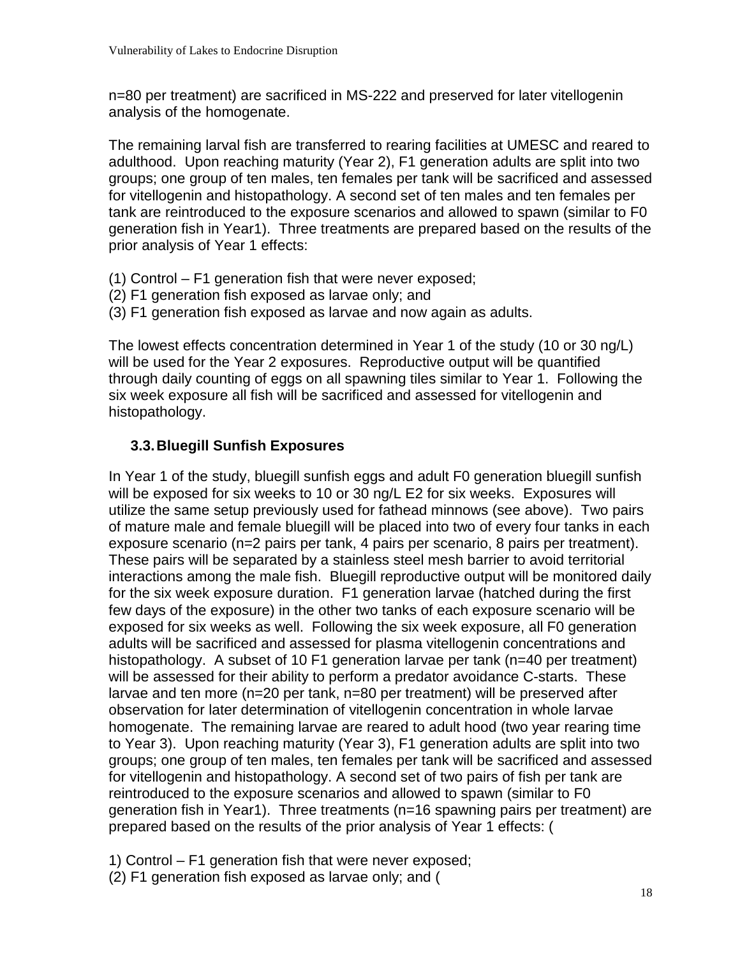n=80 per treatment) are sacrificed in MS-222 and preserved for later vitellogenin analysis of the homogenate.

The remaining larval fish are transferred to rearing facilities at UMESC and reared to adulthood. Upon reaching maturity (Year 2), F1 generation adults are split into two groups; one group of ten males, ten females per tank will be sacrificed and assessed for vitellogenin and histopathology. A second set of ten males and ten females per tank are reintroduced to the exposure scenarios and allowed to spawn (similar to F0 generation fish in Year1). Three treatments are prepared based on the results of the prior analysis of Year 1 effects:

- (1) Control F1 generation fish that were never exposed;
- (2) F1 generation fish exposed as larvae only; and
- (3) F1 generation fish exposed as larvae and now again as adults.

The lowest effects concentration determined in Year 1 of the study (10 or 30 ng/L) will be used for the Year 2 exposures. Reproductive output will be quantified through daily counting of eggs on all spawning tiles similar to Year 1. Following the six week exposure all fish will be sacrificed and assessed for vitellogenin and histopathology.

#### **3.3.Bluegill Sunfish Exposures**

In Year 1 of the study, bluegill sunfish eggs and adult F0 generation bluegill sunfish will be exposed for six weeks to 10 or 30 ng/L E2 for six weeks. Exposures will utilize the same setup previously used for fathead minnows (see above). Two pairs of mature male and female bluegill will be placed into two of every four tanks in each exposure scenario (n=2 pairs per tank, 4 pairs per scenario, 8 pairs per treatment). These pairs will be separated by a stainless steel mesh barrier to avoid territorial interactions among the male fish. Bluegill reproductive output will be monitored daily for the six week exposure duration. F1 generation larvae (hatched during the first few days of the exposure) in the other two tanks of each exposure scenario will be exposed for six weeks as well. Following the six week exposure, all F0 generation adults will be sacrificed and assessed for plasma vitellogenin concentrations and histopathology. A subset of 10 F1 generation larvae per tank (n=40 per treatment) will be assessed for their ability to perform a predator avoidance C-starts. These larvae and ten more (n=20 per tank, n=80 per treatment) will be preserved after observation for later determination of vitellogenin concentration in whole larvae homogenate. The remaining larvae are reared to adult hood (two year rearing time to Year 3). Upon reaching maturity (Year 3), F1 generation adults are split into two groups; one group of ten males, ten females per tank will be sacrificed and assessed for vitellogenin and histopathology. A second set of two pairs of fish per tank are reintroduced to the exposure scenarios and allowed to spawn (similar to F0 generation fish in Year1). Three treatments (n=16 spawning pairs per treatment) are prepared based on the results of the prior analysis of Year 1 effects: (

1) Control – F1 generation fish that were never exposed;

(2) F1 generation fish exposed as larvae only; and (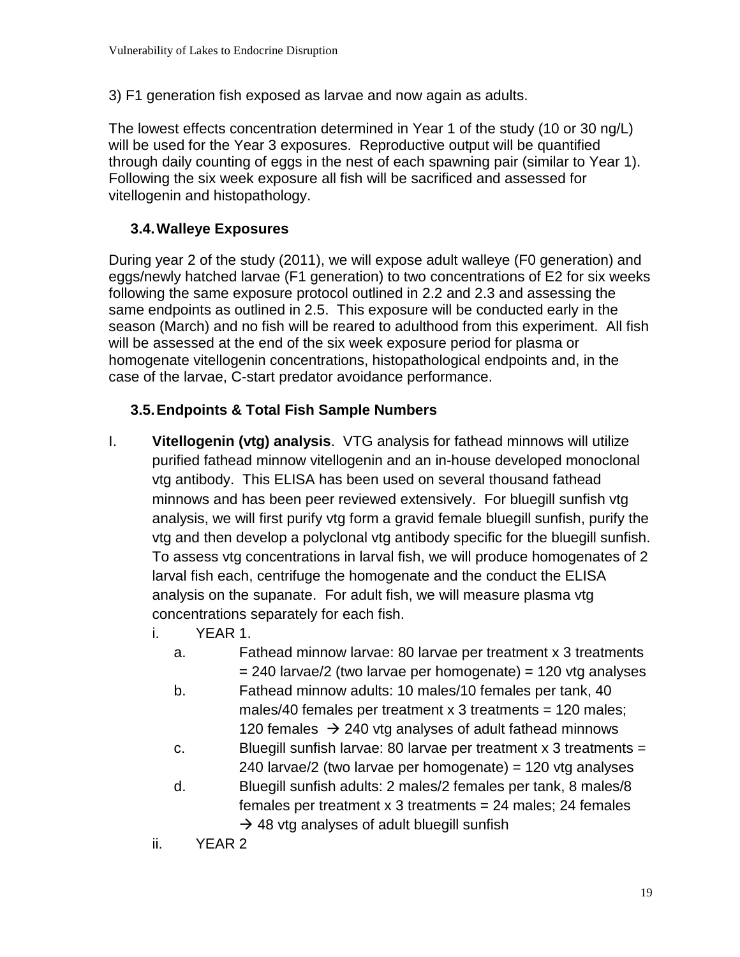3) F1 generation fish exposed as larvae and now again as adults.

The lowest effects concentration determined in Year 1 of the study (10 or 30 ng/L) will be used for the Year 3 exposures. Reproductive output will be quantified through daily counting of eggs in the nest of each spawning pair (similar to Year 1). Following the six week exposure all fish will be sacrificed and assessed for vitellogenin and histopathology.

### **3.4.Walleye Exposures**

During year 2 of the study (2011), we will expose adult walleye (F0 generation) and eggs/newly hatched larvae (F1 generation) to two concentrations of E2 for six weeks following the same exposure protocol outlined in 2.2 and 2.3 and assessing the same endpoints as outlined in 2.5. This exposure will be conducted early in the season (March) and no fish will be reared to adulthood from this experiment. All fish will be assessed at the end of the six week exposure period for plasma or homogenate vitellogenin concentrations, histopathological endpoints and, in the case of the larvae, C-start predator avoidance performance.

### **3.5.Endpoints & Total Fish Sample Numbers**

- I. **Vitellogenin (vtg) analysis**. VTG analysis for fathead minnows will utilize purified fathead minnow vitellogenin and an in-house developed monoclonal vtg antibody. This ELISA has been used on several thousand fathead minnows and has been peer reviewed extensively. For bluegill sunfish vtg analysis, we will first purify vtg form a gravid female bluegill sunfish, purify the vtg and then develop a polyclonal vtg antibody specific for the bluegill sunfish. To assess vtg concentrations in larval fish, we will produce homogenates of 2 larval fish each, centrifuge the homogenate and the conduct the ELISA analysis on the supanate. For adult fish, we will measure plasma vtg concentrations separately for each fish.
	- i. YEAR 1.
		- a. Fathead minnow larvae: 80 larvae per treatment x 3 treatments  $= 240$  larvae/2 (two larvae per homogenate) = 120 vtg analyses
		- b. Fathead minnow adults: 10 males/10 females per tank, 40 males/40 females per treatment x 3 treatments =  $120$  males; 120 females  $\rightarrow$  240 vtg analyses of adult fathead minnows
		- c. Bluegill sunfish larvae: 80 larvae per treatment x 3 treatments = 240 larvae/2 (two larvae per homogenate) = 120 vtg analyses
		- d. Bluegill sunfish adults: 2 males/2 females per tank, 8 males/8 females per treatment  $x$  3 treatments = 24 males; 24 females  $\rightarrow$  48 vtg analyses of adult bluegill sunfish

ii. YEAR 2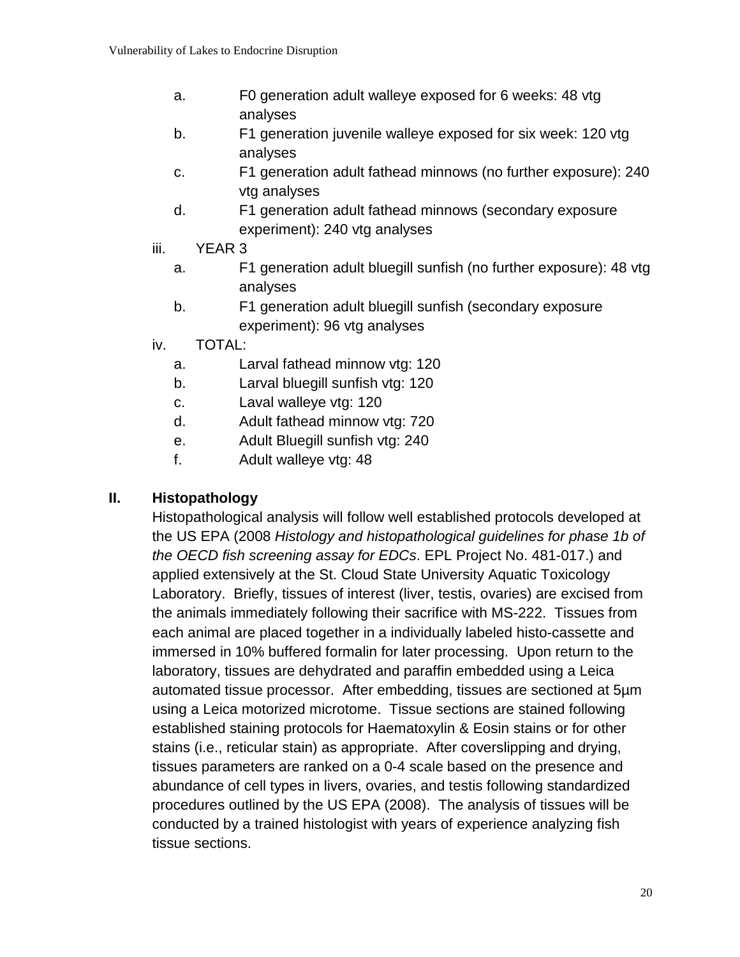- a. F0 generation adult walleye exposed for 6 weeks: 48 vtg analyses
- b. F1 generation juvenile walleye exposed for six week: 120 vtg analyses
- c. F1 generation adult fathead minnows (no further exposure): 240 vtg analyses
- d. F1 generation adult fathead minnows (secondary exposure experiment): 240 vtg analyses
- iii. YEAR 3
	- a. F1 generation adult bluegill sunfish (no further exposure): 48 vtg analyses
	- b. F1 generation adult bluegill sunfish (secondary exposure experiment): 96 vtg analyses
- iv. TOTAL:
	- a. Larval fathead minnow vtg: 120
	- b. Larval bluegill sunfish vtg: 120
	- c. Laval walleye vtg: 120
	- d. Adult fathead minnow vtg: 720
	- e. Adult Bluegill sunfish vtg: 240
	- f. Adult walleye vtg: 48

## **II. Histopathology**

Histopathological analysis will follow well established protocols developed at the US EPA (2008 *Histology and histopathological guidelines for phase 1b of the OECD fish screening assay for EDCs*. EPL Project No. 481-017.) and applied extensively at the St. Cloud State University Aquatic Toxicology Laboratory. Briefly, tissues of interest (liver, testis, ovaries) are excised from the animals immediately following their sacrifice with MS-222. Tissues from each animal are placed together in a individually labeled histo-cassette and immersed in 10% buffered formalin for later processing. Upon return to the laboratory, tissues are dehydrated and paraffin embedded using a Leica automated tissue processor. After embedding, tissues are sectioned at 5µm using a Leica motorized microtome. Tissue sections are stained following established staining protocols for Haematoxylin & Eosin stains or for other stains (i.e., reticular stain) as appropriate. After coverslipping and drying, tissues parameters are ranked on a 0-4 scale based on the presence and abundance of cell types in livers, ovaries, and testis following standardized procedures outlined by the US EPA (2008). The analysis of tissues will be conducted by a trained histologist with years of experience analyzing fish tissue sections.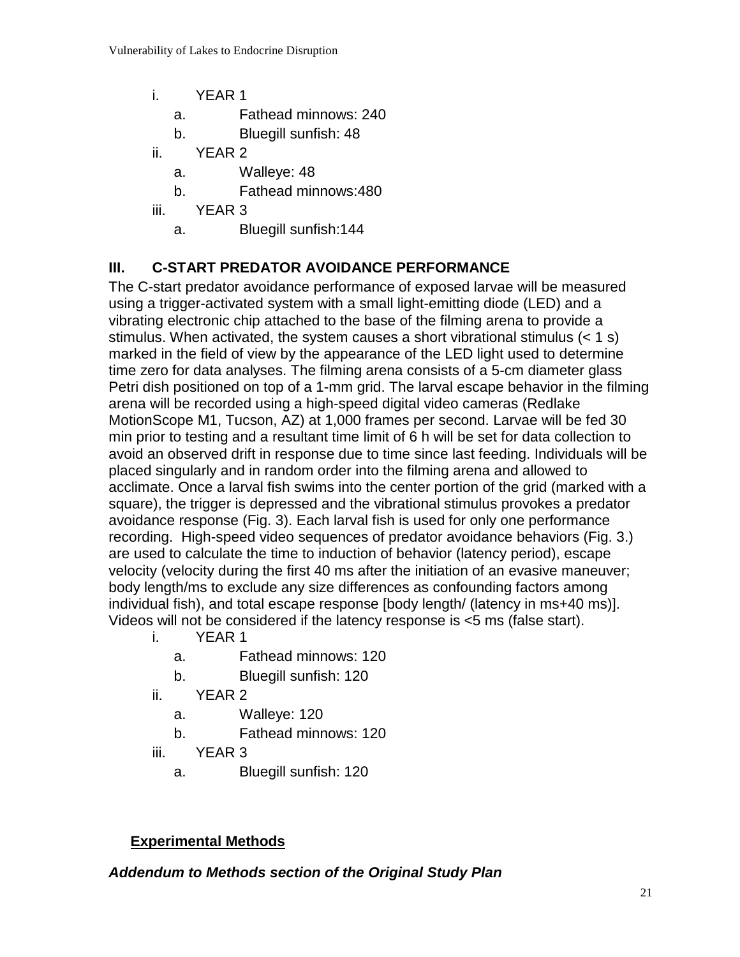- i. YEAR 1
	- a. Fathead minnows: 240
	- b. Bluegill sunfish: 48
- ii. YEAR 2
	- a. Walleye: 48
	- b. Fathead minnows:480
- iii. YEAR 3
	- a. Bluegill sunfish:144

## **III. C-START PREDATOR AVOIDANCE PERFORMANCE**

The C-start predator avoidance performance of exposed larvae will be measured using a trigger-activated system with a small light-emitting diode (LED) and a vibrating electronic chip attached to the base of the filming arena to provide a stimulus. When activated, the system causes a short vibrational stimulus  $(< 1 \text{ s})$ marked in the field of view by the appearance of the LED light used to determine time zero for data analyses. The filming arena consists of a 5-cm diameter glass Petri dish positioned on top of a 1-mm grid. The larval escape behavior in the filming arena will be recorded using a high-speed digital video cameras (Redlake MotionScope M1, Tucson, AZ) at 1,000 frames per second. Larvae will be fed 30 min prior to testing and a resultant time limit of 6 h will be set for data collection to avoid an observed drift in response due to time since last feeding. Individuals will be placed singularly and in random order into the filming arena and allowed to acclimate. Once a larval fish swims into the center portion of the grid (marked with a square), the trigger is depressed and the vibrational stimulus provokes a predator avoidance response (Fig. 3). Each larval fish is used for only one performance recording. High-speed video sequences of predator avoidance behaviors (Fig. 3.) are used to calculate the time to induction of behavior (latency period), escape velocity (velocity during the first 40 ms after the initiation of an evasive maneuver; body length/ms to exclude any size differences as confounding factors among individual fish), and total escape response [body length/ (latency in ms+40 ms)]. Videos will not be considered if the latency response is <5 ms (false start).

- i. YEAR 1
	- a. Fathead minnows: 120
	- b. Bluegill sunfish: 120
- ii. YEAR 2
	- a. Walleye: 120
	- b. Fathead minnows: 120
- iii. YEAR 3
	- a. Bluegill sunfish: 120

### **Experimental Methods**

### *Addendum to Methods section of the Original Study Plan*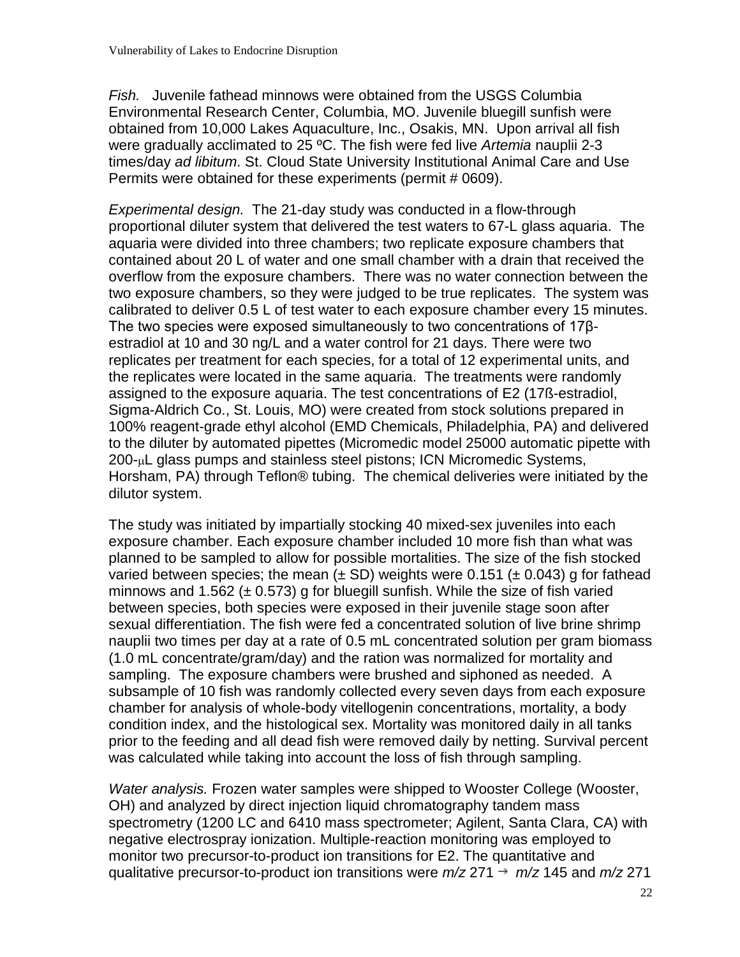*Fish.* Juvenile fathead minnows were obtained from the USGS Columbia Environmental Research Center, Columbia, MO. Juvenile bluegill sunfish were obtained from 10,000 Lakes Aquaculture, Inc., Osakis, MN. Upon arrival all fish were gradually acclimated to 25 ºC. The fish were fed live *Artemia* nauplii 2-3 times/day *ad libitum*. St. Cloud State University Institutional Animal Care and Use Permits were obtained for these experiments (permit # 0609).

*Experimental design.* The 21-day study was conducted in a flow-through proportional diluter system that delivered the test waters to 67-L glass aquaria. The aquaria were divided into three chambers; two replicate exposure chambers that contained about 20 L of water and one small chamber with a drain that received the overflow from the exposure chambers. There was no water connection between the two exposure chambers, so they were judged to be true replicates. The system was calibrated to deliver 0.5 L of test water to each exposure chamber every 15 minutes. The two species were exposed simultaneously to two concentrations of 17βestradiol at 10 and 30 ng/L and a water control for 21 days. There were two replicates per treatment for each species, for a total of 12 experimental units, and the replicates were located in the same aquaria. The treatments were randomly assigned to the exposure aquaria. The test concentrations of E2 (17ß-estradiol, Sigma-Aldrich Co., St. Louis, MO) were created from stock solutions prepared in 100% reagent-grade ethyl alcohol (EMD Chemicals, Philadelphia, PA) and delivered to the diluter by automated pipettes (Micromedic model 25000 automatic pipette with 200-µL glass pumps and stainless steel pistons; ICN Micromedic Systems, Horsham, PA) through Teflon® tubing. The chemical deliveries were initiated by the dilutor system.

The study was initiated by impartially stocking 40 mixed-sex juveniles into each exposure chamber. Each exposure chamber included 10 more fish than what was planned to be sampled to allow for possible mortalities. The size of the fish stocked varied between species; the mean  $(\pm SD)$  weights were 0.151 ( $\pm$  0.043) g for fathead minnows and 1.562 ( $\pm$  0.573) g for bluegill sunfish. While the size of fish varied between species, both species were exposed in their juvenile stage soon after sexual differentiation. The fish were fed a concentrated solution of live brine shrimp nauplii two times per day at a rate of 0.5 mL concentrated solution per gram biomass (1.0 mL concentrate/gram/day) and the ration was normalized for mortality and sampling. The exposure chambers were brushed and siphoned as needed. A subsample of 10 fish was randomly collected every seven days from each exposure chamber for analysis of whole-body vitellogenin concentrations, mortality, a body condition index, and the histological sex. Mortality was monitored daily in all tanks prior to the feeding and all dead fish were removed daily by netting. Survival percent was calculated while taking into account the loss of fish through sampling.

*Water analysis.* Frozen water samples were shipped to Wooster College (Wooster, OH) and analyzed by direct injection liquid chromatography tandem mass spectrometry (1200 LC and 6410 mass spectrometer; Agilent, Santa Clara, CA) with negative electrospray ionization. Multiple-reaction monitoring was employed to monitor two precursor-to-product ion transitions for E2. The quantitative and qualitative precursor-to-product ion transitions were *m/z* 271 *m/z* 145 and *m/z* 271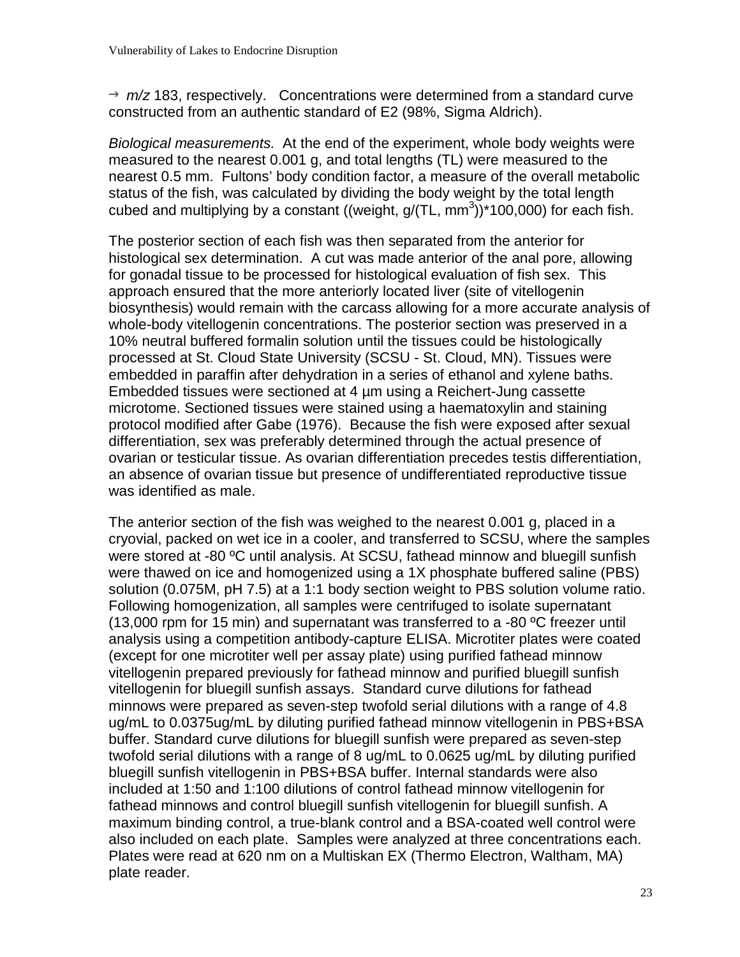→ *m*/z 183, respectively. Concentrations were determined from a standard curve constructed from an authentic standard of E2 (98%, Sigma Aldrich).

*Biological measurements.* At the end of the experiment, whole body weights were measured to the nearest 0.001 g, and total lengths (TL) were measured to the nearest 0.5 mm. Fultons' body condition factor, a measure of the overall metabolic status of the fish, was calculated by dividing the body weight by the total length cubed and multiplying by a constant ((weight,  $g/(TL, mm^3)$ )\*100,000) for each fish.

The posterior section of each fish was then separated from the anterior for histological sex determination. A cut was made anterior of the anal pore, allowing for gonadal tissue to be processed for histological evaluation of fish sex. This approach ensured that the more anteriorly located liver (site of vitellogenin biosynthesis) would remain with the carcass allowing for a more accurate analysis of whole-body vitellogenin concentrations. The posterior section was preserved in a 10% neutral buffered formalin solution until the tissues could be histologically processed at St. Cloud State University (SCSU - St. Cloud, MN). Tissues were embedded in paraffin after dehydration in a series of ethanol and xylene baths. Embedded tissues were sectioned at 4 µm using a Reichert-Jung cassette microtome. Sectioned tissues were stained using a haematoxylin and staining protocol modified after Gabe (1976). Because the fish were exposed after sexual differentiation, sex was preferably determined through the actual presence of ovarian or testicular tissue. As ovarian differentiation precedes testis differentiation, an absence of ovarian tissue but presence of undifferentiated reproductive tissue was identified as male.

The anterior section of the fish was weighed to the nearest 0.001 g, placed in a cryovial, packed on wet ice in a cooler, and transferred to SCSU, where the samples were stored at -80 ºC until analysis. At SCSU, fathead minnow and bluegill sunfish were thawed on ice and homogenized using a 1X phosphate buffered saline (PBS) solution (0.075M, pH 7.5) at a 1:1 body section weight to PBS solution volume ratio. Following homogenization, all samples were centrifuged to isolate supernatant (13,000 rpm for 15 min) and supernatant was transferred to a -80 ºC freezer until analysis using a competition antibody-capture ELISA. Microtiter plates were coated (except for one microtiter well per assay plate) using purified fathead minnow vitellogenin prepared previously for fathead minnow and purified bluegill sunfish vitellogenin for bluegill sunfish assays. Standard curve dilutions for fathead minnows were prepared as seven-step twofold serial dilutions with a range of 4.8 ug/mL to 0.0375ug/mL by diluting purified fathead minnow vitellogenin in PBS+BSA buffer. Standard curve dilutions for bluegill sunfish were prepared as seven-step twofold serial dilutions with a range of 8 ug/mL to 0.0625 ug/mL by diluting purified bluegill sunfish vitellogenin in PBS+BSA buffer. Internal standards were also included at 1:50 and 1:100 dilutions of control fathead minnow vitellogenin for fathead minnows and control bluegill sunfish vitellogenin for bluegill sunfish. A maximum binding control, a true-blank control and a BSA-coated well control were also included on each plate. Samples were analyzed at three concentrations each. Plates were read at 620 nm on a Multiskan EX (Thermo Electron, Waltham, MA) plate reader.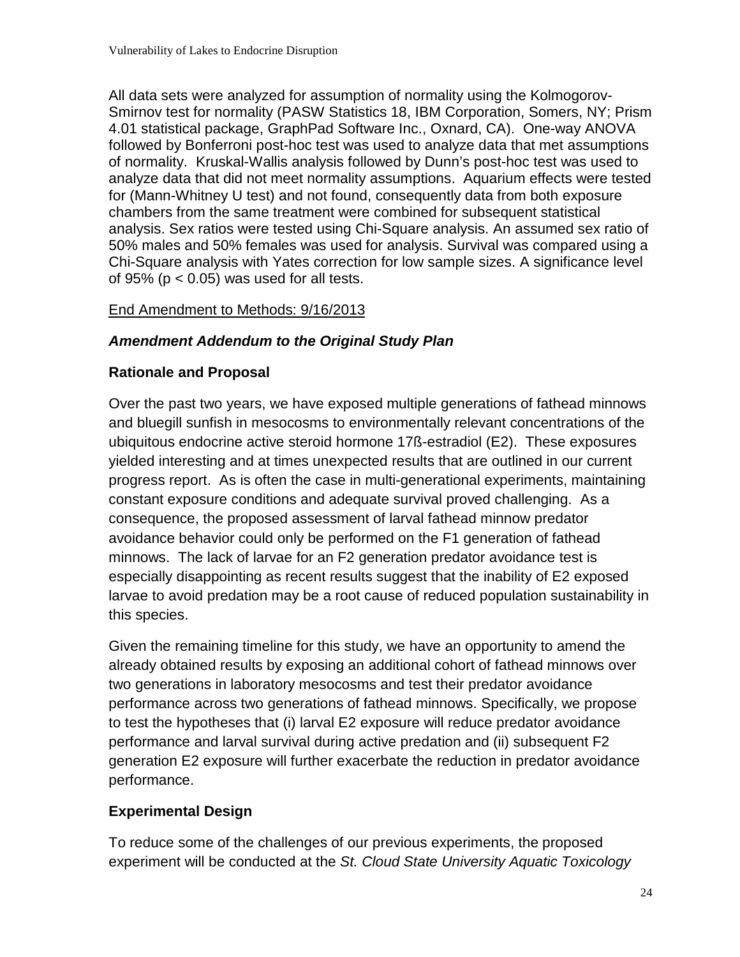All data sets were analyzed for assumption of normality using the Kolmogorov-Smirnov test for normality (PASW Statistics 18, IBM Corporation, Somers, NY; Prism 4.01 statistical package, GraphPad Software Inc., Oxnard, CA). One-way ANOVA followed by Bonferroni post-hoc test was used to analyze data that met assumptions of normality. Kruskal-Wallis analysis followed by Dunn's post-hoc test was used to analyze data that did not meet normality assumptions. Aquarium effects were tested for (Mann-Whitney U test) and not found, consequently data from both exposure chambers from the same treatment were combined for subsequent statistical analysis. Sex ratios were tested using Chi-Square analysis. An assumed sex ratio of 50% males and 50% females was used for analysis. Survival was compared using a Chi-Square analysis with Yates correction for low sample sizes. A significance level of 95% ( $p < 0.05$ ) was used for all tests.

### End Amendment to Methods: 9/16/2013

### *Amendment Addendum to the Original Study Plan*

### **Rationale and Proposal**

Over the past two years, we have exposed multiple generations of fathead minnows and bluegill sunfish in mesocosms to environmentally relevant concentrations of the ubiquitous endocrine active steroid hormone 17ß-estradiol (E2). These exposures yielded interesting and at times unexpected results that are outlined in our current progress report. As is often the case in multi-generational experiments, maintaining constant exposure conditions and adequate survival proved challenging. As a consequence, the proposed assessment of larval fathead minnow predator avoidance behavior could only be performed on the F1 generation of fathead minnows. The lack of larvae for an F2 generation predator avoidance test is especially disappointing as recent results suggest that the inability of E2 exposed larvae to avoid predation may be a root cause of reduced population sustainability in this species.

Given the remaining timeline for this study, we have an opportunity to amend the already obtained results by exposing an additional cohort of fathead minnows over two generations in laboratory mesocosms and test their predator avoidance performance across two generations of fathead minnows. Specifically, we propose to test the hypotheses that (i) larval E2 exposure will reduce predator avoidance performance and larval survival during active predation and (ii) subsequent F2 generation E2 exposure will further exacerbate the reduction in predator avoidance performance.

## **Experimental Design**

To reduce some of the challenges of our previous experiments, the proposed experiment will be conducted at the *St. Cloud State University Aquatic Toxicology*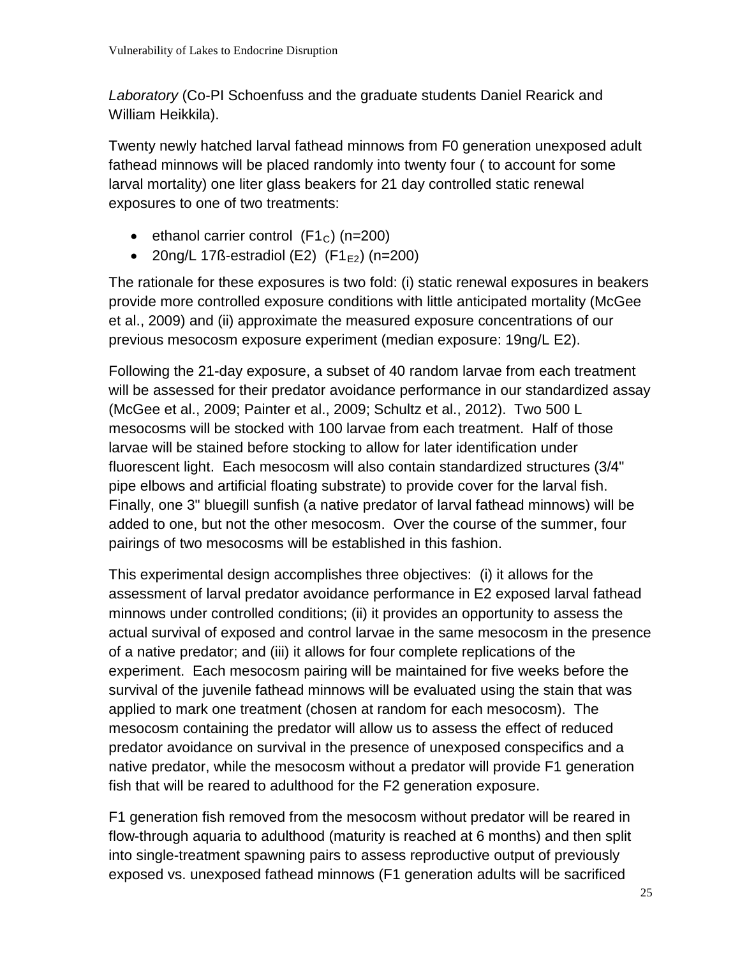*Laboratory* (Co-PI Schoenfuss and the graduate students Daniel Rearick and William Heikkila).

Twenty newly hatched larval fathead minnows from F0 generation unexposed adult fathead minnows will be placed randomly into twenty four ( to account for some larval mortality) one liter glass beakers for 21 day controlled static renewal exposures to one of two treatments:

- ethanol carrier control  $(F1_C)$  (n=200)
- 20ng/L 17ß-estradiol (E2)  $(F1_{E2})$  (n=200)

The rationale for these exposures is two fold: (i) static renewal exposures in beakers provide more controlled exposure conditions with little anticipated mortality (McGee et al., 2009) and (ii) approximate the measured exposure concentrations of our previous mesocosm exposure experiment (median exposure: 19ng/L E2).

Following the 21-day exposure, a subset of 40 random larvae from each treatment will be assessed for their predator avoidance performance in our standardized assay (McGee et al., 2009; Painter et al., 2009; Schultz et al., 2012). Two 500 L mesocosms will be stocked with 100 larvae from each treatment. Half of those larvae will be stained before stocking to allow for later identification under fluorescent light. Each mesocosm will also contain standardized structures (3/4" pipe elbows and artificial floating substrate) to provide cover for the larval fish. Finally, one 3" bluegill sunfish (a native predator of larval fathead minnows) will be added to one, but not the other mesocosm. Over the course of the summer, four pairings of two mesocosms will be established in this fashion.

This experimental design accomplishes three objectives: (i) it allows for the assessment of larval predator avoidance performance in E2 exposed larval fathead minnows under controlled conditions; (ii) it provides an opportunity to assess the actual survival of exposed and control larvae in the same mesocosm in the presence of a native predator; and (iii) it allows for four complete replications of the experiment. Each mesocosm pairing will be maintained for five weeks before the survival of the juvenile fathead minnows will be evaluated using the stain that was applied to mark one treatment (chosen at random for each mesocosm). The mesocosm containing the predator will allow us to assess the effect of reduced predator avoidance on survival in the presence of unexposed conspecifics and a native predator, while the mesocosm without a predator will provide F1 generation fish that will be reared to adulthood for the F2 generation exposure.

F1 generation fish removed from the mesocosm without predator will be reared in flow-through aquaria to adulthood (maturity is reached at 6 months) and then split into single-treatment spawning pairs to assess reproductive output of previously exposed vs. unexposed fathead minnows (F1 generation adults will be sacrificed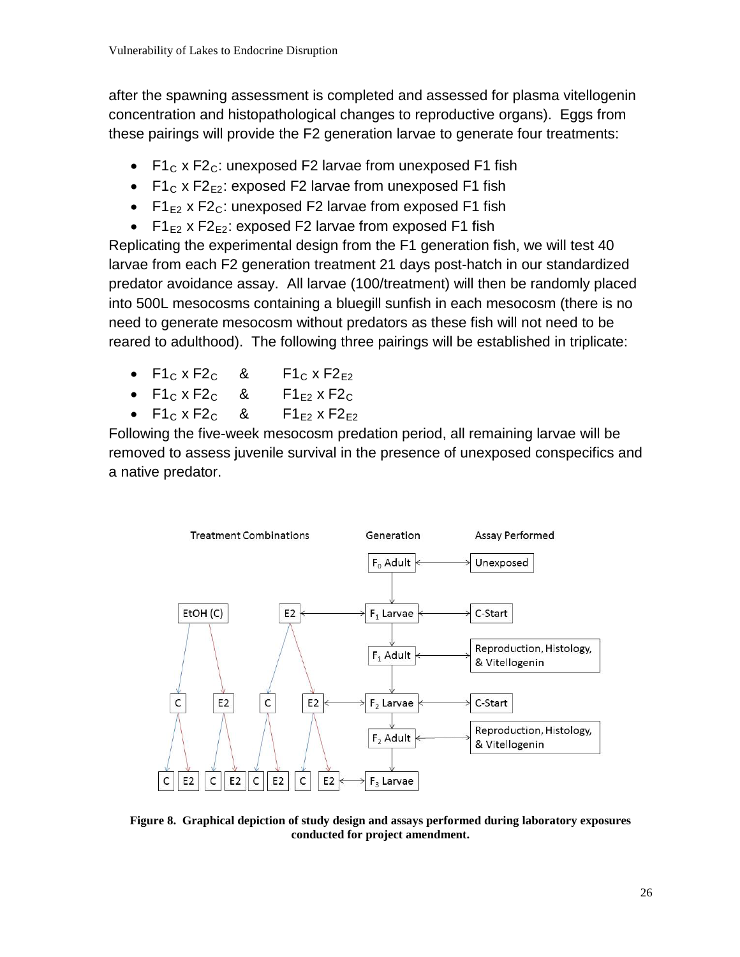after the spawning assessment is completed and assessed for plasma vitellogenin concentration and histopathological changes to reproductive organs). Eggs from these pairings will provide the F2 generation larvae to generate four treatments:

- F1<sub>C</sub> x F2<sub>C</sub>: unexposed F2 larvae from unexposed F1 fish
- F1 $<sub>C</sub>$  x F2<sub>F2</sub>: exposed F2 larvae from unexposed F1 fish</sub>
- F1 $F_2$  x F2<sub>C</sub>: unexposed F2 larvae from exposed F1 fish
- F1 $F_2$  x F2 $F_2$ : exposed F2 larvae from exposed F1 fish

Replicating the experimental design from the F1 generation fish, we will test 40 larvae from each F2 generation treatment 21 days post-hatch in our standardized predator avoidance assay. All larvae (100/treatment) will then be randomly placed into 500L mesocosms containing a bluegill sunfish in each mesocosm (there is no need to generate mesocosm without predators as these fish will not need to be reared to adulthood). The following three pairings will be established in triplicate:

- $F1_C \times F2_C$  &  $F1_C \times F2_{E2}$
- $F1_C x F2_C$  &  $F1_{F2} x F2_C$
- $F1_C \times F2_C$  &  $F1_{F2} \times F2_{F2}$

Following the five-week mesocosm predation period, all remaining larvae will be removed to assess juvenile survival in the presence of unexposed conspecifics and a native predator.



**Figure 8. Graphical depiction of study design and assays performed during laboratory exposures conducted for project amendment.**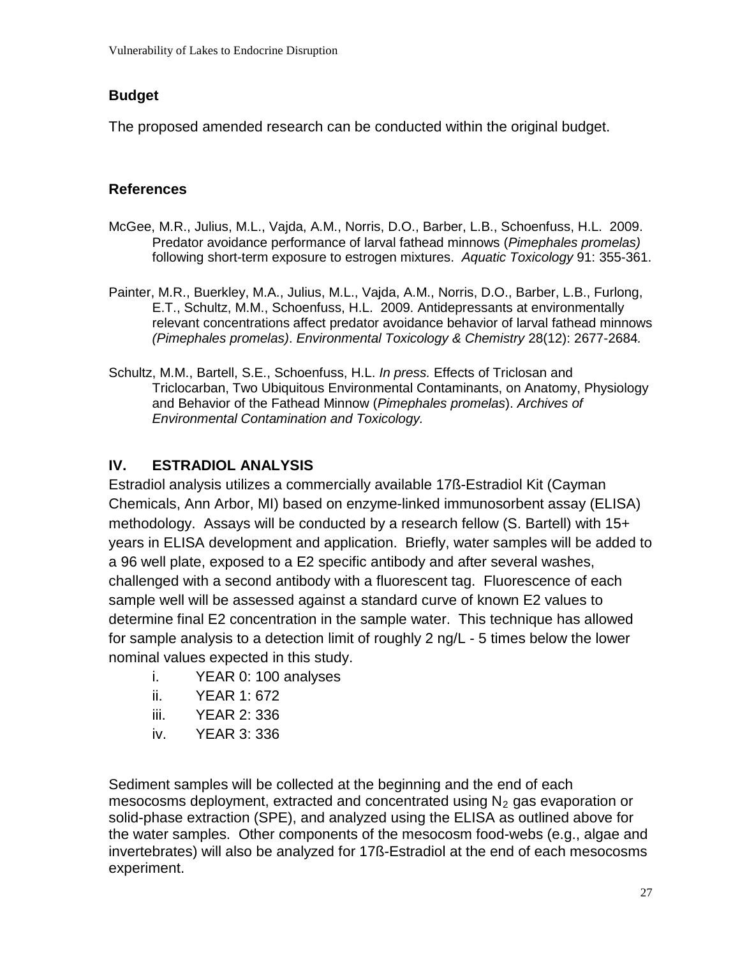## **Budget**

The proposed amended research can be conducted within the original budget.

## **References**

- McGee, M.R., Julius, M.L., Vajda, A.M., Norris, D.O., Barber, L.B., Schoenfuss, H.L. 2009. Predator avoidance performance of larval fathead minnows (*Pimephales promelas)* following short-term exposure to estrogen mixtures. *Aquatic Toxicology* 91: 355-361.
- Painter, M.R., Buerkley, M.A., Julius, M.L., Vajda, A.M., Norris, D.O., Barber, L.B., Furlong, E.T., Schultz, M.M., Schoenfuss, H.L. 2009. Antidepressants at environmentally relevant concentrations affect predator avoidance behavior of larval fathead minnows *(Pimephales promelas)*. *Environmental Toxicology & Chemistry* 28(12): 2677-2684*.*
- Schultz, M.M., Bartell, S.E., Schoenfuss, H.L. *In press.* Effects of Triclosan and Triclocarban, Two Ubiquitous Environmental Contaminants, on Anatomy, Physiology and Behavior of the Fathead Minnow (*Pimephales promelas*). *Archives of Environmental Contamination and Toxicology.*

## **IV. ESTRADIOL ANALYSIS**

Estradiol analysis utilizes a commercially available 17ß-Estradiol Kit (Cayman Chemicals, Ann Arbor, MI) based on enzyme-linked immunosorbent assay (ELISA) methodology. Assays will be conducted by a research fellow (S. Bartell) with 15+ years in ELISA development and application. Briefly, water samples will be added to a 96 well plate, exposed to a E2 specific antibody and after several washes, challenged with a second antibody with a fluorescent tag. Fluorescence of each sample well will be assessed against a standard curve of known E2 values to determine final E2 concentration in the sample water. This technique has allowed for sample analysis to a detection limit of roughly 2 ng/L - 5 times below the lower nominal values expected in this study.

- i. YEAR 0: 100 analyses
- ii. YEAR 1: 672
- iii. YEAR 2: 336
- iv. YEAR 3: 336

Sediment samples will be collected at the beginning and the end of each mesocosms deployment, extracted and concentrated using  $N_2$  gas evaporation or solid-phase extraction (SPE), and analyzed using the ELISA as outlined above for the water samples. Other components of the mesocosm food-webs (e.g., algae and invertebrates) will also be analyzed for 17ß-Estradiol at the end of each mesocosms experiment.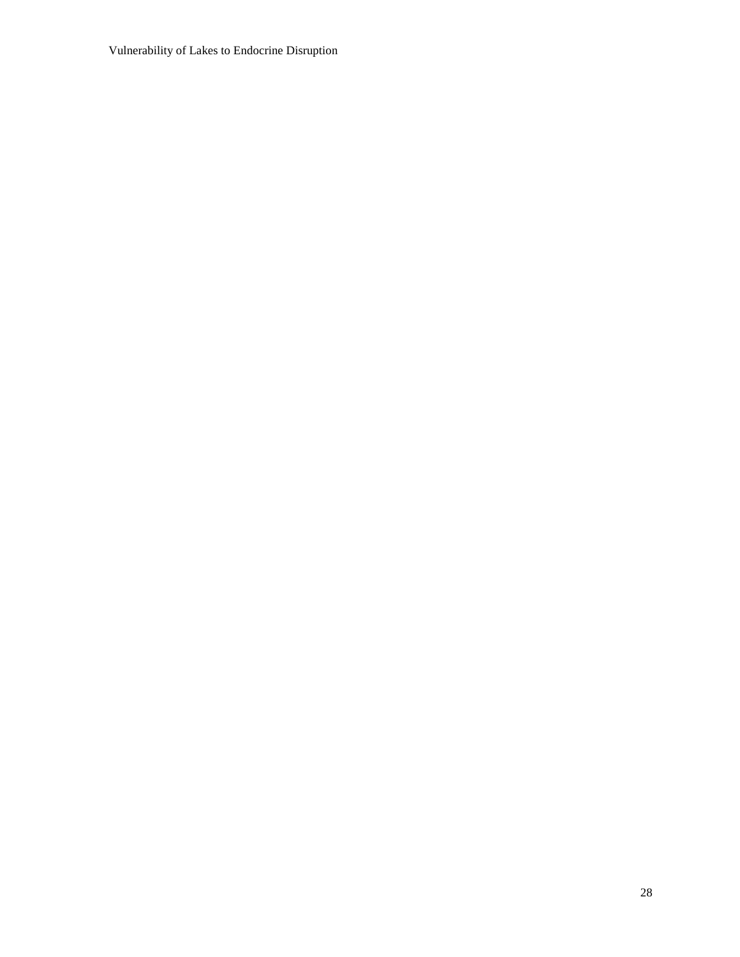Vulnerability of Lakes to Endocrine Disruption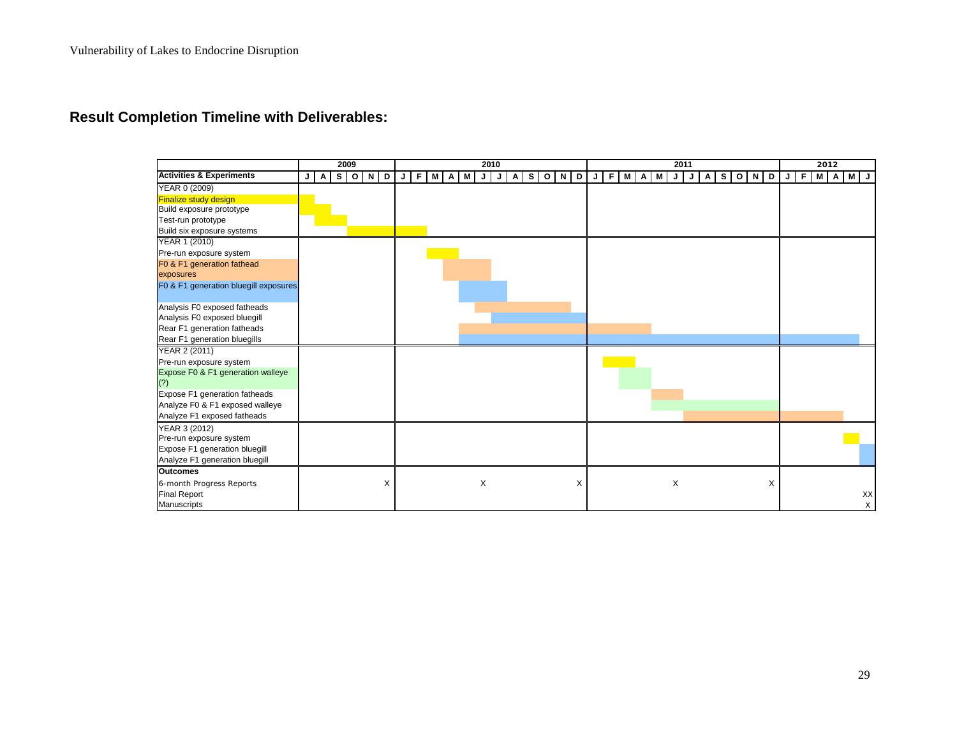# **Result Completion Timeline with Deliverables:**

|                                       |  | 2009 |                       | 2010 |  |  |         |  |   |  |  |  |                                               |   | 2011 |  |  |  |  |   |  |  |  |  |  |                     | 2012 |         |  |         |  |             |
|---------------------------------------|--|------|-----------------------|------|--|--|---------|--|---|--|--|--|-----------------------------------------------|---|------|--|--|--|--|---|--|--|--|--|--|---------------------|------|---------|--|---------|--|-------------|
| <b>Activities &amp; Experiments</b>   |  |      | J   A   S   O   N   D | J    |  |  | FMAMJJJ |  |   |  |  |  | A   S   O   N   D   J   F   M   A   M   J   J |   |      |  |  |  |  |   |  |  |  |  |  | $A$ $S$ $O$ $N$ $D$ |      | $J$ $F$ |  | M A M J |  |             |
| YEAR 0 (2009)                         |  |      |                       |      |  |  |         |  |   |  |  |  |                                               |   |      |  |  |  |  |   |  |  |  |  |  |                     |      |         |  |         |  |             |
| Finalize study design                 |  |      |                       |      |  |  |         |  |   |  |  |  |                                               |   |      |  |  |  |  |   |  |  |  |  |  |                     |      |         |  |         |  |             |
| Build exposure prototype              |  |      |                       |      |  |  |         |  |   |  |  |  |                                               |   |      |  |  |  |  |   |  |  |  |  |  |                     |      |         |  |         |  |             |
| Test-run prototype                    |  |      |                       |      |  |  |         |  |   |  |  |  |                                               |   |      |  |  |  |  |   |  |  |  |  |  |                     |      |         |  |         |  |             |
| Build six exposure systems            |  |      |                       |      |  |  |         |  |   |  |  |  |                                               |   |      |  |  |  |  |   |  |  |  |  |  |                     |      |         |  |         |  |             |
| YEAR 1 (2010)                         |  |      |                       |      |  |  |         |  |   |  |  |  |                                               |   |      |  |  |  |  |   |  |  |  |  |  |                     |      |         |  |         |  |             |
| Pre-run exposure system               |  |      |                       |      |  |  |         |  |   |  |  |  |                                               |   |      |  |  |  |  |   |  |  |  |  |  |                     |      |         |  |         |  |             |
| F0 & F1 generation fathead            |  |      |                       |      |  |  |         |  |   |  |  |  |                                               |   |      |  |  |  |  |   |  |  |  |  |  |                     |      |         |  |         |  |             |
| exposures                             |  |      |                       |      |  |  |         |  |   |  |  |  |                                               |   |      |  |  |  |  |   |  |  |  |  |  |                     |      |         |  |         |  |             |
| F0 & F1 generation bluegill exposures |  |      |                       |      |  |  |         |  |   |  |  |  |                                               |   |      |  |  |  |  |   |  |  |  |  |  |                     |      |         |  |         |  |             |
|                                       |  |      |                       |      |  |  |         |  |   |  |  |  |                                               |   |      |  |  |  |  |   |  |  |  |  |  |                     |      |         |  |         |  |             |
| Analysis F0 exposed fatheads          |  |      |                       |      |  |  |         |  |   |  |  |  |                                               |   |      |  |  |  |  |   |  |  |  |  |  |                     |      |         |  |         |  |             |
| Analysis F0 exposed bluegill          |  |      |                       |      |  |  |         |  |   |  |  |  |                                               |   |      |  |  |  |  |   |  |  |  |  |  |                     |      |         |  |         |  |             |
| Rear F1 generation fatheads           |  |      |                       |      |  |  |         |  |   |  |  |  |                                               |   |      |  |  |  |  |   |  |  |  |  |  |                     |      |         |  |         |  |             |
| Rear F1 generation bluegills          |  |      |                       |      |  |  |         |  |   |  |  |  |                                               |   |      |  |  |  |  |   |  |  |  |  |  |                     |      |         |  |         |  |             |
| YEAR 2 (2011)                         |  |      |                       |      |  |  |         |  |   |  |  |  |                                               |   |      |  |  |  |  |   |  |  |  |  |  |                     |      |         |  |         |  |             |
| Pre-run exposure system               |  |      |                       |      |  |  |         |  |   |  |  |  |                                               |   |      |  |  |  |  |   |  |  |  |  |  |                     |      |         |  |         |  |             |
| Expose F0 & F1 generation walleye     |  |      |                       |      |  |  |         |  |   |  |  |  |                                               |   |      |  |  |  |  |   |  |  |  |  |  |                     |      |         |  |         |  |             |
| (?)                                   |  |      |                       |      |  |  |         |  |   |  |  |  |                                               |   |      |  |  |  |  |   |  |  |  |  |  |                     |      |         |  |         |  |             |
| Expose F1 generation fatheads         |  |      |                       |      |  |  |         |  |   |  |  |  |                                               |   |      |  |  |  |  |   |  |  |  |  |  |                     |      |         |  |         |  |             |
| Analyze F0 & F1 exposed walleye       |  |      |                       |      |  |  |         |  |   |  |  |  |                                               |   |      |  |  |  |  |   |  |  |  |  |  |                     |      |         |  |         |  |             |
| Analyze F1 exposed fatheads           |  |      |                       |      |  |  |         |  |   |  |  |  |                                               |   |      |  |  |  |  |   |  |  |  |  |  |                     |      |         |  |         |  |             |
| YEAR 3 (2012)                         |  |      |                       |      |  |  |         |  |   |  |  |  |                                               |   |      |  |  |  |  |   |  |  |  |  |  |                     |      |         |  |         |  |             |
| Pre-run exposure system               |  |      |                       |      |  |  |         |  |   |  |  |  |                                               |   |      |  |  |  |  |   |  |  |  |  |  |                     |      |         |  |         |  |             |
| Expose F1 generation bluegill         |  |      |                       |      |  |  |         |  |   |  |  |  |                                               |   |      |  |  |  |  |   |  |  |  |  |  |                     |      |         |  |         |  |             |
| Analyze F1 generation bluegill        |  |      |                       |      |  |  |         |  |   |  |  |  |                                               |   |      |  |  |  |  |   |  |  |  |  |  |                     |      |         |  |         |  |             |
| <b>Outcomes</b>                       |  |      |                       |      |  |  |         |  |   |  |  |  |                                               |   |      |  |  |  |  |   |  |  |  |  |  |                     |      |         |  |         |  |             |
| 6-month Progress Reports              |  |      | X                     |      |  |  |         |  | X |  |  |  |                                               | X |      |  |  |  |  | X |  |  |  |  |  |                     | X    |         |  |         |  |             |
| <b>Final Report</b>                   |  |      |                       |      |  |  |         |  |   |  |  |  |                                               |   |      |  |  |  |  |   |  |  |  |  |  |                     |      |         |  |         |  | XX          |
| Manuscripts                           |  |      |                       |      |  |  |         |  |   |  |  |  |                                               |   |      |  |  |  |  |   |  |  |  |  |  |                     |      |         |  |         |  | $\mathsf X$ |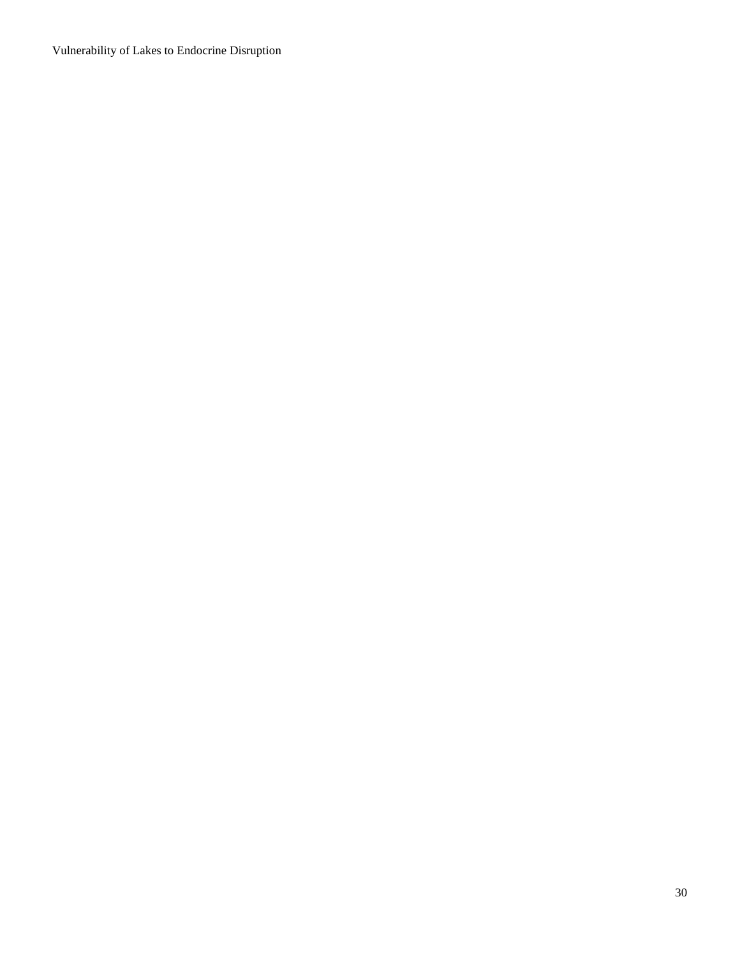Vulnerability of Lakes to Endocrine Disruption